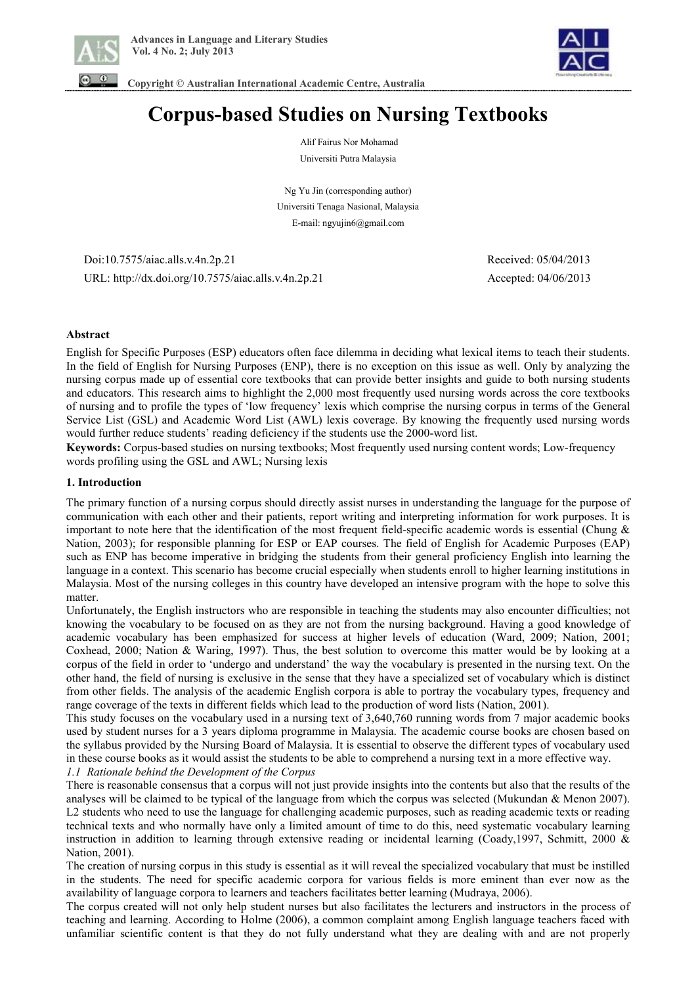



 **Copyright © Australian International Academic Centre, Australia** 

# **Corpus-based Studies on Nursing Textbooks**

Alif Fairus Nor Mohamad Universiti Putra Malaysia

Ng Yu Jin (corresponding author) Universiti Tenaga Nasional, Malaysia E-mail: ngyujin6@gmail.com

 Doi:10.7575/aiac.alls.v.4n.2p.21 Received: 05/04/2013 URL: http://dx.doi.org/10.7575/aiac.alls.v.4n.2p.21 Accepted: 04/06/2013

#### **Abstract**

English for Specific Purposes (ESP) educators often face dilemma in deciding what lexical items to teach their students. In the field of English for Nursing Purposes (ENP), there is no exception on this issue as well. Only by analyzing the nursing corpus made up of essential core textbooks that can provide better insights and guide to both nursing students and educators. This research aims to highlight the 2,000 most frequently used nursing words across the core textbooks of nursing and to profile the types of 'low frequency' lexis which comprise the nursing corpus in terms of the General Service List (GSL) and Academic Word List (AWL) lexis coverage. By knowing the frequently used nursing words would further reduce students' reading deficiency if the students use the 2000-word list.

**Keywords:** Corpus-based studies on nursing textbooks; Most frequently used nursing content words; Low-frequency words profiling using the GSL and AWL; Nursing lexis

#### **1. Introduction**

The primary function of a nursing corpus should directly assist nurses in understanding the language for the purpose of communication with each other and their patients, report writing and interpreting information for work purposes. It is important to note here that the identification of the most frequent field-specific academic words is essential (Chung & Nation, 2003); for responsible planning for ESP or EAP courses. The field of English for Academic Purposes (EAP) such as ENP has become imperative in bridging the students from their general proficiency English into learning the language in a context. This scenario has become crucial especially when students enroll to higher learning institutions in Malaysia. Most of the nursing colleges in this country have developed an intensive program with the hope to solve this matter.

Unfortunately, the English instructors who are responsible in teaching the students may also encounter difficulties; not knowing the vocabulary to be focused on as they are not from the nursing background. Having a good knowledge of academic vocabulary has been emphasized for success at higher levels of education (Ward, 2009; Nation, 2001; Coxhead, 2000; Nation & Waring, 1997). Thus, the best solution to overcome this matter would be by looking at a corpus of the field in order to 'undergo and understand' the way the vocabulary is presented in the nursing text. On the other hand, the field of nursing is exclusive in the sense that they have a specialized set of vocabulary which is distinct from other fields. The analysis of the academic English corpora is able to portray the vocabulary types, frequency and range coverage of the texts in different fields which lead to the production of word lists (Nation, 2001).

This study focuses on the vocabulary used in a nursing text of 3,640,760 running words from 7 major academic books used by student nurses for a 3 years diploma programme in Malaysia. The academic course books are chosen based on the syllabus provided by the Nursing Board of Malaysia. It is essential to observe the different types of vocabulary used in these course books as it would assist the students to be able to comprehend a nursing text in a more effective way.

*1.1 Rationale behind the Development of the Corpus* 

There is reasonable consensus that a corpus will not just provide insights into the contents but also that the results of the analyses will be claimed to be typical of the language from which the corpus was selected (Mukundan & Menon 2007). L2 students who need to use the language for challenging academic purposes, such as reading academic texts or reading technical texts and who normally have only a limited amount of time to do this, need systematic vocabulary learning instruction in addition to learning through extensive reading or incidental learning (Coady,1997, Schmitt, 2000 & Nation, 2001).

The creation of nursing corpus in this study is essential as it will reveal the specialized vocabulary that must be instilled in the students. The need for specific academic corpora for various fields is more eminent than ever now as the availability of language corpora to learners and teachers facilitates better learning (Mudraya, 2006).

The corpus created will not only help student nurses but also facilitates the lecturers and instructors in the process of teaching and learning. According to Holme (2006), a common complaint among English language teachers faced with unfamiliar scientific content is that they do not fully understand what they are dealing with and are not properly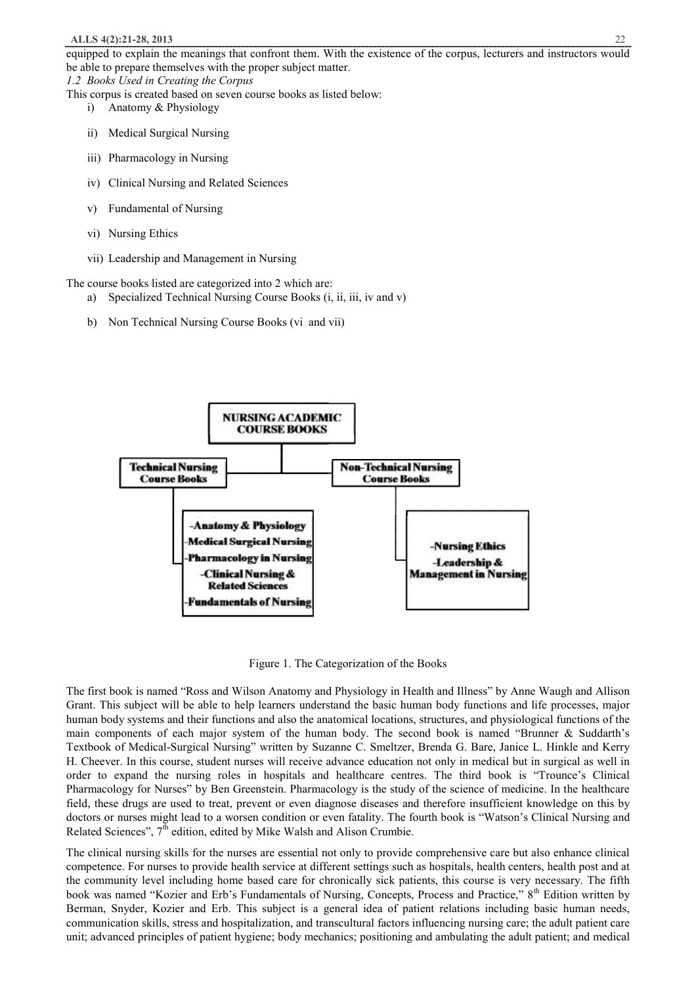equipped to explain the meanings that confront them. With the existence of the corpus, lecturers and instructors would be able to prepare themselves with the proper subject matter.

*1.2 Books Used in Creating the Corpus*  This corpus is created based on seven course books as listed below:

- i) Anatomy & Physiology
- ii) Medical Surgical Nursing
- iii) Pharmacology in Nursing
- iv) Clinical Nursing and Related Sciences
- v) Fundamental of Nursing
- vi) Nursing Ethics
- vii) Leadership and Management in Nursing

The course books listed are categorized into 2 which are:

- a) Specialized Technical Nursing Course Books (i, ii, iii, iv and v)
- b) Non Technical Nursing Course Books (vi and vii)



Figure 1. The Categorization of the Books

The first book is named "Ross and Wilson Anatomy and Physiology in Health and Illness" by Anne Waugh and Allison Grant. This subject will be able to help learners understand the basic human body functions and life processes, major human body systems and their functions and also the anatomical locations, structures, and physiological functions of the main components of each major system of the human body. The second book is named "Brunner & Suddarth's Textbook of Medical-Surgical Nursing" written by Suzanne C. Smeltzer, Brenda G. Bare, Janice L. Hinkle and Kerry H. Cheever. In this course, student nurses will receive advance education not only in medical but in surgical as well in order to expand the nursing roles in hospitals and healthcare centres. The third book is "Trounce's Clinical Pharmacology for Nurses" by Ben Greenstein. Pharmacology is the study of the science of medicine. In the healthcare field, these drugs are used to treat, prevent or even diagnose diseases and therefore insufficient knowledge on this by doctors or nurses might lead to a worsen condition or even fatality. The fourth book is "Watson's Clinical Nursing and Related Sciences",  $7<sup>th</sup>$  edition, edited by Mike Walsh and Alison Crumbie.

The clinical nursing skills for the nurses are essential not only to provide comprehensive care but also enhance clinical competence. For nurses to provide health service at different settings such as hospitals, health centers, health post and at the community level including home based care for chronically sick patients, this course is very necessary. The fifth book was named "Kozier and Erb's Fundamentals of Nursing, Concepts, Process and Practice," 8<sup>th</sup> Edition written by Berman, Snyder, Kozier and Erb. This subject is a general idea of patient relations including basic human needs, communication skills, stress and hospitalization, and transcultural factors influencing nursing care; the adult patient care unit; advanced principles of patient hygiene; body mechanics; positioning and ambulating the adult patient; and medical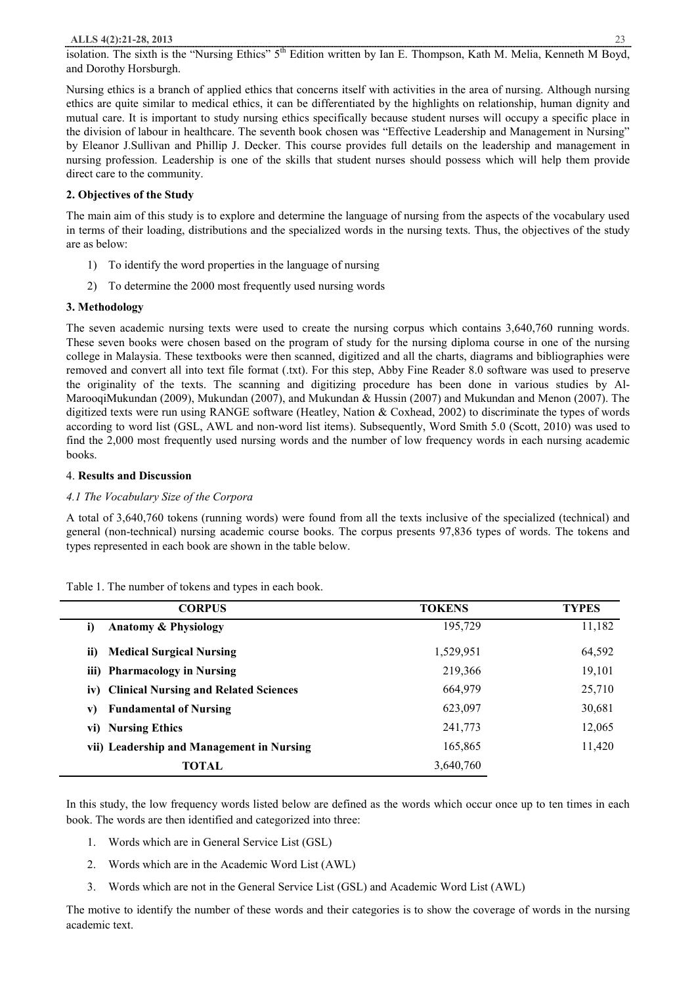isolation. The sixth is the "Nursing Ethics" 5<sup>th</sup> Edition written by Ian E. Thompson, Kath M. Melia, Kenneth M Boyd, and Dorothy Horsburgh.

Nursing ethics is a branch of applied ethics that concerns itself with activities in the area of nursing. Although nursing ethics are quite similar to medical ethics, it can be differentiated by the highlights on relationship, human dignity and mutual care. It is important to study nursing ethics specifically because student nurses will occupy a specific place in the division of labour in healthcare. The seventh book chosen was "Effective Leadership and Management in Nursing" by Eleanor J.Sullivan and Phillip J. Decker. This course provides full details on the leadership and management in nursing profession. Leadership is one of the skills that student nurses should possess which will help them provide direct care to the community.

#### **2. Objectives of the Study**

The main aim of this study is to explore and determine the language of nursing from the aspects of the vocabulary used in terms of their loading, distributions and the specialized words in the nursing texts. Thus, the objectives of the study are as below:

- 1) To identify the word properties in the language of nursing
- 2) To determine the 2000 most frequently used nursing words

#### **3. Methodology**

The seven academic nursing texts were used to create the nursing corpus which contains 3,640,760 running words. These seven books were chosen based on the program of study for the nursing diploma course in one of the nursing college in Malaysia. These textbooks were then scanned, digitized and all the charts, diagrams and bibliographies were removed and convert all into text file format (.txt). For this step, Abby Fine Reader 8.0 software was used to preserve the originality of the texts. The scanning and digitizing procedure has been done in various studies by Al-MarooqiMukundan (2009), Mukundan (2007), and Mukundan & Hussin (2007) and Mukundan and Menon (2007). The digitized texts were run using RANGE software (Heatley, Nation & Coxhead, 2002) to discriminate the types of words according to word list (GSL, AWL and non-word list items). Subsequently, Word Smith 5.0 (Scott, 2010) was used to find the 2,000 most frequently used nursing words and the number of low frequency words in each nursing academic books.

#### 4. **Results and Discussion**

#### *4.1 The Vocabulary Size of the Corpora*

A total of 3,640,760 tokens (running words) were found from all the texts inclusive of the specialized (technical) and general (non-technical) nursing academic course books. The corpus presents 97,836 types of words. The tokens and types represented in each book are shown in the table below.

#### Table 1. The number of tokens and types in each book.

| <b>CORPUS</b>                             | <b>TOKENS</b> | <b>TYPES</b> |
|-------------------------------------------|---------------|--------------|
| i)<br><b>Anatomy &amp; Physiology</b>     | 195,729       | 11,182       |
| ii)<br><b>Medical Surgical Nursing</b>    | 1,529,951     | 64,592       |
| iii) Pharmacology in Nursing              | 219,366       | 19,101       |
| iv) Clinical Nursing and Related Sciences | 664,979       | 25,710       |
| <b>Fundamental of Nursing</b><br>V)       | 623,097       | 30,681       |
| vi) Nursing Ethics                        | 241,773       | 12,065       |
| vii) Leadership and Management in Nursing | 165,865       | 11,420       |
| TOTAL                                     | 3,640,760     |              |

In this study, the low frequency words listed below are defined as the words which occur once up to ten times in each book. The words are then identified and categorized into three:

- 1. Words which are in General Service List (GSL)
- 2. Words which are in the Academic Word List (AWL)
- 3. Words which are not in the General Service List (GSL) and Academic Word List (AWL)

The motive to identify the number of these words and their categories is to show the coverage of words in the nursing academic text.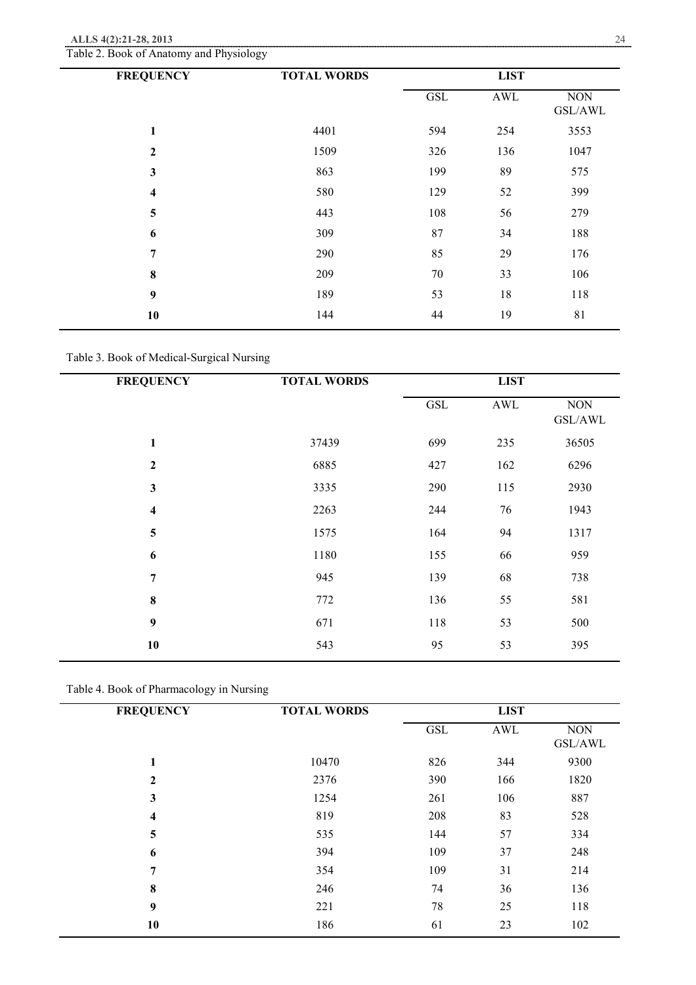| <b>FREQUENCY</b> | <b>TOTAL WORDS</b> |            | <b>LIST</b> |                       |
|------------------|--------------------|------------|-------------|-----------------------|
|                  |                    | <b>GSL</b> | AWL         | <b>NON</b><br>GSL/AWL |
| 1                | 4401               | 594        | 254         | 3553                  |
| $\overline{2}$   | 1509               | 326        | 136         | 1047                  |
| $\mathbf{3}$     | 863                | 199        | 89          | 575                   |
| 4                | 580                | 129        | 52          | 399                   |
| 5                | 443                | 108        | 56          | 279                   |
| 6                | 309                | 87         | 34          | 188                   |
| $\overline{7}$   | 290                | 85         | 29          | 176                   |
| $\bf{8}$         | 209                | 70         | 33          | 106                   |
| $\boldsymbol{9}$ | 189                | 53         | 18          | 118                   |
| 10               | 144                | 44         | 19          | 81                    |

Table 2. Book of Anatomy and Physiology

Table 3. Book of Medical-Surgical Nursing

| <b>FREQUENCY</b>        | <b>TOTAL WORDS</b> |            | <b>LIST</b>          |                       |
|-------------------------|--------------------|------------|----------------------|-----------------------|
|                         |                    | <b>GSL</b> | $\operatorname{AWL}$ | <b>NON</b><br>GSL/AWL |
| 1                       | 37439              | 699        | 235                  | 36505                 |
| $\mathbf{2}$            | 6885               | 427        | 162                  | 6296                  |
| $\mathbf{3}$            | 3335               | 290        | 115                  | 2930                  |
| $\overline{\mathbf{4}}$ | 2263               | 244        | 76                   | 1943                  |
| $\overline{\mathbf{5}}$ | 1575               | 164        | 94                   | 1317                  |
| 6                       | 1180               | 155        | 66                   | 959                   |
| $\overline{7}$          | 945                | 139        | 68                   | 738                   |
| $\bf{8}$                | 772                | 136        | 55                   | 581                   |
| $\boldsymbol{9}$        | 671                | 118        | 53                   | 500                   |
| 10                      | 543                | 95         | 53                   | 395                   |
|                         |                    |            |                      |                       |

Table 4. Book of Pharmacology in Nursing

| <b>FREQUENCY</b> | <b>TOTAL WORDS</b> |            | <b>LIST</b> |                       |
|------------------|--------------------|------------|-------------|-----------------------|
|                  |                    | <b>GSL</b> | AWL         | <b>NON</b><br>GSL/AWL |
| 1                | 10470              | 826        | 344         | 9300                  |
| 2                | 2376               | 390        | 166         | 1820                  |
| 3                | 1254               | 261        | 106         | 887                   |
| 4                | 819                | 208        | 83          | 528                   |
| 5                | 535                | 144        | 57          | 334                   |
| 6                | 394                | 109        | 37          | 248                   |
| 7                | 354                | 109        | 31          | 214                   |
| 8                | 246                | 74         | 36          | 136                   |
| 9                | 221                | 78         | 25          | 118                   |
| 10               | 186                | 61         | 23          | 102                   |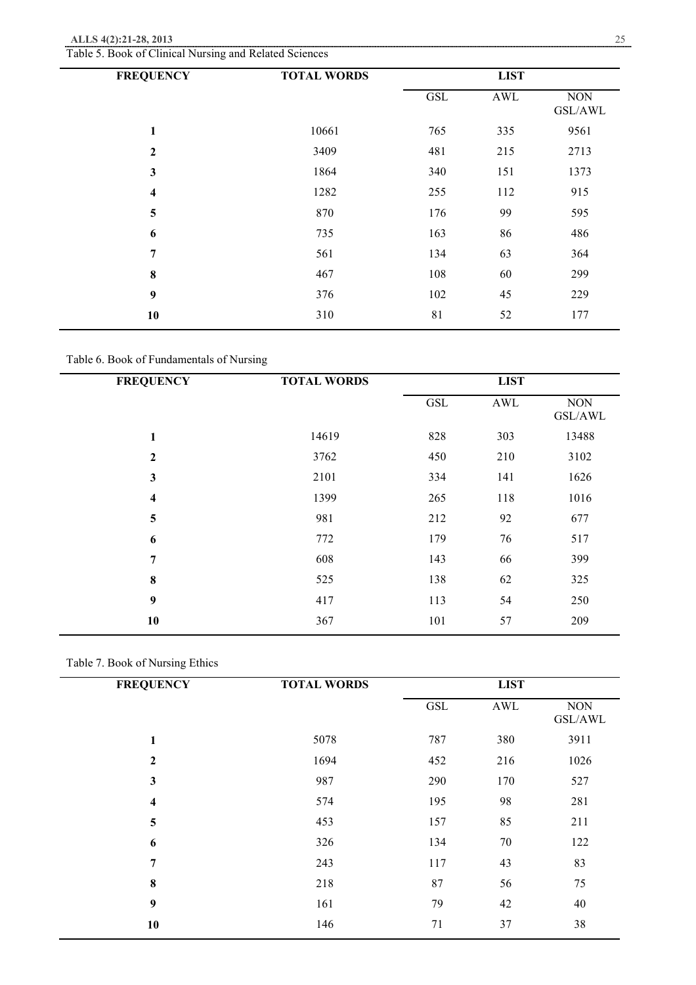| Table 5. Book of Clinical Nursing and Related Sciences |  |
|--------------------------------------------------------|--|
|--------------------------------------------------------|--|

| <b>FREQUENCY</b> | <b>TOTAL WORDS</b> |                      | <b>LIST</b> |                       |
|------------------|--------------------|----------------------|-------------|-----------------------|
|                  |                    | $\operatorname{GSL}$ | AWL         | <b>NON</b><br>GSL/AWL |
| 1                | 10661              | 765                  | 335         | 9561                  |
| $\mathbf{2}$     | 3409               | 481                  | 215         | 2713                  |
| 3                | 1864               | 340                  | 151         | 1373                  |
| 4                | 1282               | 255                  | 112         | 915                   |
| 5                | 870                | 176                  | 99          | 595                   |
| 6                | 735                | 163                  | 86          | 486                   |
| 7                | 561                | 134                  | 63          | 364                   |
| 8                | 467                | 108                  | 60          | 299                   |
| 9                | 376                | 102                  | 45          | 229                   |
| 10               | 310                | 81                   | 52          | 177                   |
|                  |                    |                      |             |                       |

Table 6. Book of Fundamentals of Nursing

| <b>FREQUENCY</b>        | <b>TOTAL WORDS</b> |            | <b>LIST</b>          |                       |
|-------------------------|--------------------|------------|----------------------|-----------------------|
|                         |                    | <b>GSL</b> | $\operatorname{AWL}$ | <b>NON</b><br>GSL/AWL |
| $\mathbf{1}$            | 14619              | 828        | 303                  | 13488                 |
| $\boldsymbol{2}$        | 3762               | 450        | 210                  | 3102                  |
| $\mathbf{3}$            | 2101               | 334        | 141                  | 1626                  |
| $\overline{\mathbf{4}}$ | 1399               | 265        | 118                  | 1016                  |
| 5                       | 981                | 212        | 92                   | 677                   |
| 6                       | 772                | 179        | 76                   | 517                   |
| 7                       | 608                | 143        | 66                   | 399                   |
| $\bf 8$                 | 525                | 138        | 62                   | 325                   |
| $\boldsymbol{9}$        | 417                | 113        | 54                   | 250                   |
| 10                      | 367                | 101        | 57                   | 209                   |

## Table 7. Book of Nursing Ethics

| <b>FREQUENCY</b>        | <b>TOTAL WORDS</b> |            | <b>LIST</b> |                       |
|-------------------------|--------------------|------------|-------------|-----------------------|
|                         |                    | <b>GSL</b> | AWL         | <b>NON</b><br>GSL/AWL |
| 1                       | 5078               | 787        | 380         | 3911                  |
| $\overline{2}$          | 1694               | 452        | 216         | 1026                  |
| $\mathbf{3}$            | 987                | 290        | 170         | 527                   |
| $\overline{\mathbf{4}}$ | 574                | 195        | 98          | 281                   |
| 5                       | 453                | 157        | 85          | 211                   |
| 6                       | 326                | 134        | $70\,$      | 122                   |
| 7                       | 243                | 117        | 43          | 83                    |
| 8                       | 218                | 87         | 56          | 75                    |
| 9                       | 161                | 79         | 42          | 40                    |
| 10                      | 146                | 71         | 37          | 38                    |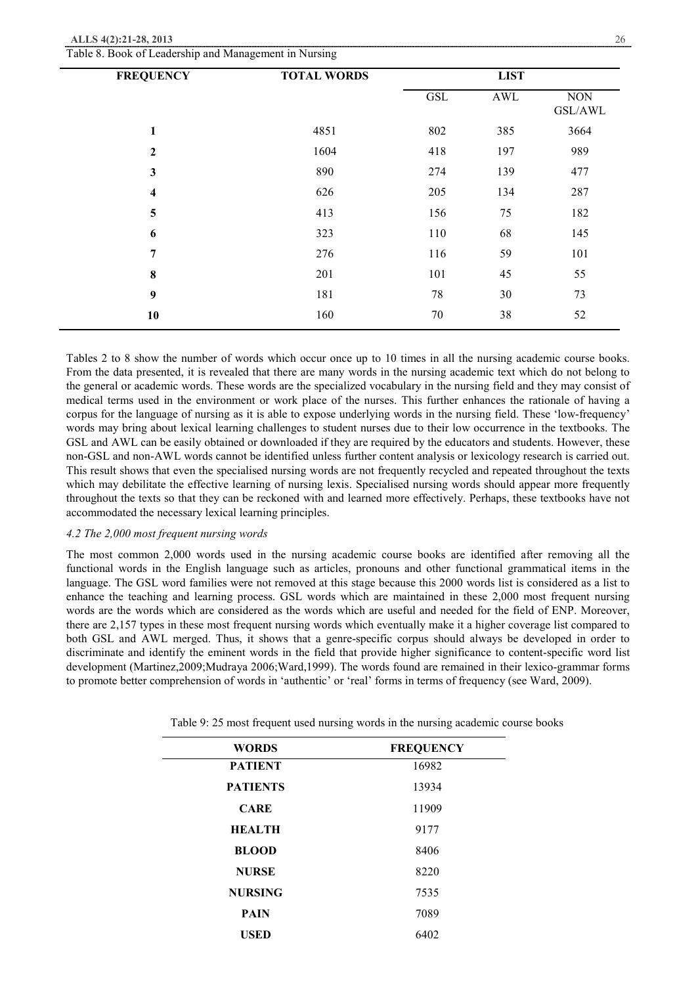| $\mathbf{r}$<br><b>FREQUENCY</b> | ັ<br>$\tilde{\phantom{a}}$<br><b>TOTAL WORDS</b> |            | <b>LIST</b>          |                       |
|----------------------------------|--------------------------------------------------|------------|----------------------|-----------------------|
|                                  |                                                  | <b>GSL</b> | $\operatorname{AWL}$ | $\rm{NON}$<br>GSL/AWL |
| 1                                | 4851                                             | 802        | 385                  | 3664                  |
| $\boldsymbol{2}$                 | 1604                                             | 418        | 197                  | 989                   |
| $\mathbf{3}$                     | 890                                              | 274        | 139                  | 477                   |
| $\overline{\mathbf{4}}$          | 626                                              | 205        | 134                  | 287                   |
| 5                                | 413                                              | 156        | 75                   | 182                   |
| 6                                | 323                                              | 110        | 68                   | 145                   |
| 7                                | 276                                              | 116        | 59                   | 101                   |
| $\bf{8}$                         | 201                                              | 101        | 45                   | 55                    |
| 9                                | 181                                              | 78         | 30                   | 73                    |
| 10                               | 160                                              | 70         | 38                   | 52                    |

Table 8. Book of Leadership and Management in Nursing

Tables 2 to 8 show the number of words which occur once up to 10 times in all the nursing academic course books. From the data presented, it is revealed that there are many words in the nursing academic text which do not belong to the general or academic words. These words are the specialized vocabulary in the nursing field and they may consist of medical terms used in the environment or work place of the nurses. This further enhances the rationale of having a corpus for the language of nursing as it is able to expose underlying words in the nursing field. These 'low-frequency' words may bring about lexical learning challenges to student nurses due to their low occurrence in the textbooks. The GSL and AWL can be easily obtained or downloaded if they are required by the educators and students. However, these non-GSL and non-AWL words cannot be identified unless further content analysis or lexicology research is carried out. This result shows that even the specialised nursing words are not frequently recycled and repeated throughout the texts which may debilitate the effective learning of nursing lexis. Specialised nursing words should appear more frequently throughout the texts so that they can be reckoned with and learned more effectively. Perhaps, these textbooks have not accommodated the necessary lexical learning principles.

#### *4.2 The 2,000 most frequent nursing words*

The most common 2,000 words used in the nursing academic course books are identified after removing all the functional words in the English language such as articles, pronouns and other functional grammatical items in the language. The GSL word families were not removed at this stage because this 2000 words list is considered as a list to enhance the teaching and learning process. GSL words which are maintained in these 2,000 most frequent nursing words are the words which are considered as the words which are useful and needed for the field of ENP. Moreover, there are 2,157 types in these most frequent nursing words which eventually make it a higher coverage list compared to both GSL and AWL merged. Thus, it shows that a genre-specific corpus should always be developed in order to discriminate and identify the eminent words in the field that provide higher significance to content-specific word list development (Martinez,2009;Mudraya 2006;Ward,1999). The words found are remained in their lexico-grammar forms to promote better comprehension of words in 'authentic' or 'real' forms in terms of frequency (see Ward, 2009).

| <b>WORDS</b>    | <b>FREQUENCY</b> |
|-----------------|------------------|
| <b>PATIENT</b>  | 16982            |
| <b>PATIENTS</b> | 13934            |
| <b>CARE</b>     | 11909            |
| <b>HEALTH</b>   | 9177             |
| <b>BLOOD</b>    | 8406             |
| <b>NURSE</b>    | 8220             |
| <b>NURSING</b>  | 7535             |
| <b>PAIN</b>     | 7089             |
| <b>USED</b>     | 6402             |

Table 9: 25 most frequent used nursing words in the nursing academic course books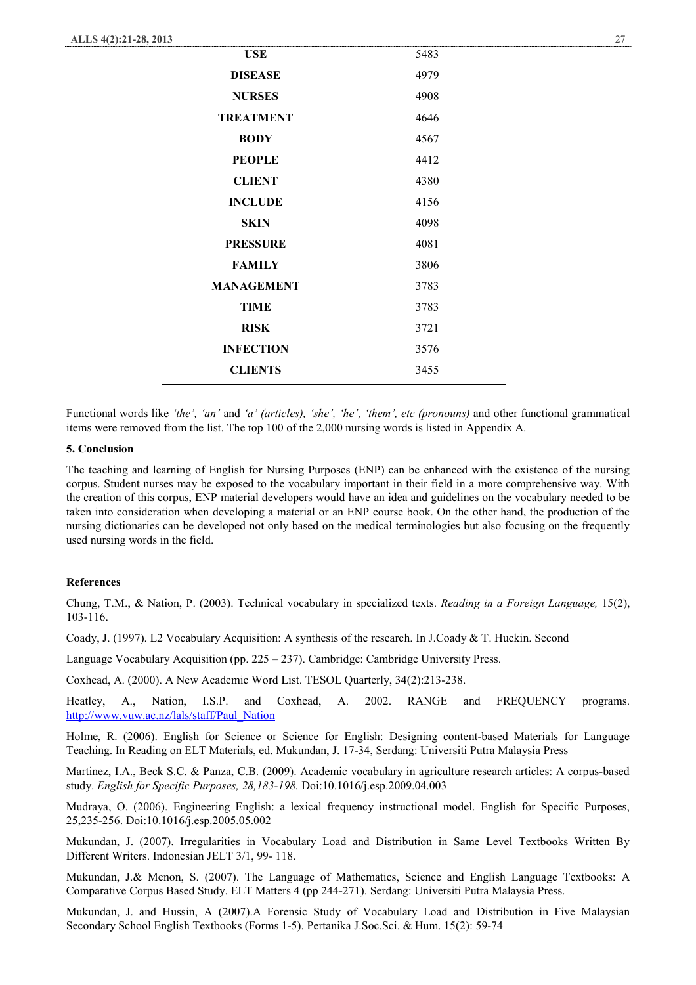| <b>USE</b>        | 5483 |
|-------------------|------|
| <b>DISEASE</b>    | 4979 |
| <b>NURSES</b>     | 4908 |
| <b>TREATMENT</b>  | 4646 |
| <b>BODY</b>       | 4567 |
| <b>PEOPLE</b>     | 4412 |
| <b>CLIENT</b>     | 4380 |
| <b>INCLUDE</b>    | 4156 |
| <b>SKIN</b>       | 4098 |
| <b>PRESSURE</b>   | 4081 |
| <b>FAMILY</b>     | 3806 |
| <b>MANAGEMENT</b> | 3783 |
| <b>TIME</b>       | 3783 |
| <b>RISK</b>       | 3721 |
| <b>INFECTION</b>  | 3576 |
| <b>CLIENTS</b>    | 3455 |

Functional words like *'the', 'an'* and *'a' (articles), 'she', 'he', 'them', etc (pronouns)* and other functional grammatical items were removed from the list. The top 100 of the 2,000 nursing words is listed in Appendix A.

#### **5. Conclusion**

The teaching and learning of English for Nursing Purposes (ENP) can be enhanced with the existence of the nursing corpus. Student nurses may be exposed to the vocabulary important in their field in a more comprehensive way. With the creation of this corpus, ENP material developers would have an idea and guidelines on the vocabulary needed to be taken into consideration when developing a material or an ENP course book. On the other hand, the production of the nursing dictionaries can be developed not only based on the medical terminologies but also focusing on the frequently used nursing words in the field.

#### **References**

Chung, T.M., & Nation, P. (2003). Technical vocabulary in specialized texts. *Reading in a Foreign Language,* 15(2), 103-116.

Coady, J. (1997). L2 Vocabulary Acquisition: A synthesis of the research. In J.Coady & T. Huckin. Second

Language Vocabulary Acquisition (pp.  $225 - 237$ ). Cambridge: Cambridge University Press.

Coxhead, A. (2000). A New Academic Word List. TESOL Quarterly, 34(2):213-238.

Heatley, A., Nation, I.S.P. and Coxhead, A. 2002. RANGE and FREQUENCY programs. http://www.vuw.ac.nz/lals/staff/Paul\_Nation

Holme, R. (2006). English for Science or Science for English: Designing content-based Materials for Language Teaching. In Reading on ELT Materials, ed. Mukundan, J. 17-34, Serdang: Universiti Putra Malaysia Press

Martinez, I.A., Beck S.C. & Panza, C.B. (2009). Academic vocabulary in agriculture research articles: A corpus-based study. *English for Specific Purposes, 28,183-198.* Doi:10.1016/j.esp.2009.04.003

Mudraya, O. (2006). Engineering English: a lexical frequency instructional model. English for Specific Purposes, 25,235-256. Doi:10.1016/j.esp.2005.05.002

Mukundan, J. (2007). Irregularities in Vocabulary Load and Distribution in Same Level Textbooks Written By Different Writers. Indonesian JELT 3/1, 99- 118.

Mukundan, J.& Menon, S. (2007). The Language of Mathematics, Science and English Language Textbooks: A Comparative Corpus Based Study. ELT Matters 4 (pp 244-271). Serdang: Universiti Putra Malaysia Press.

Mukundan, J. and Hussin, A (2007).A Forensic Study of Vocabulary Load and Distribution in Five Malaysian Secondary School English Textbooks (Forms 1-5). Pertanika J.Soc.Sci. & Hum. 15(2): 59-74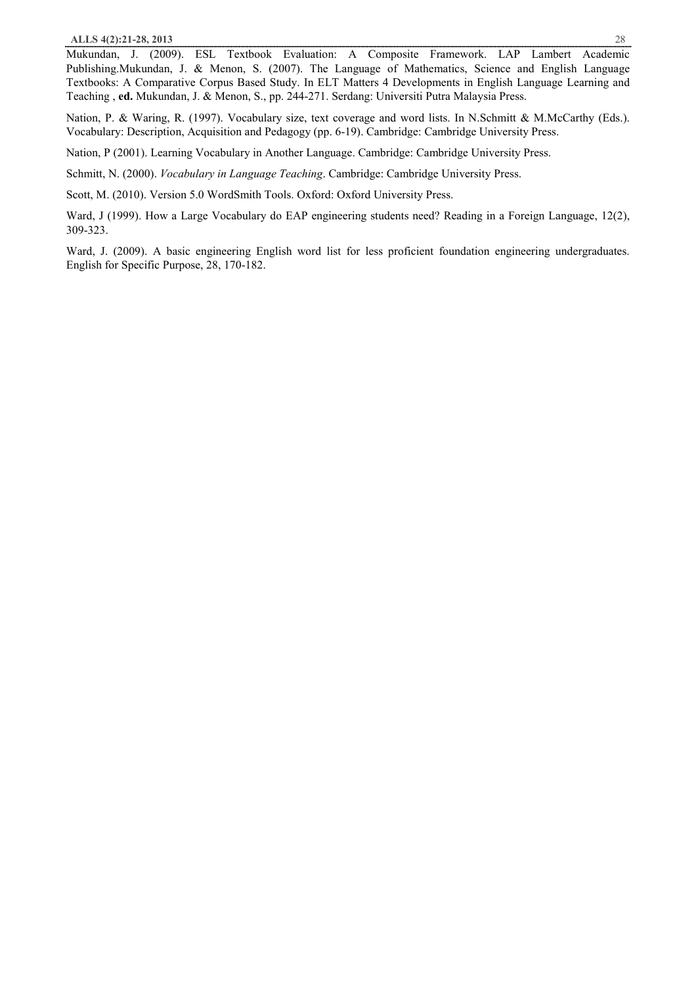Mukundan, J. (2009). ESL Textbook Evaluation: A Composite Framework. LAP Lambert Academic Publishing.Mukundan, J. & Menon, S. (2007). The Language of Mathematics, Science and English Language Textbooks: A Comparative Corpus Based Study. In ELT Matters 4 Developments in English Language Learning and Teaching , **ed.** Mukundan, J. & Menon, S., pp. 244-271. Serdang: Universiti Putra Malaysia Press.

Nation, P. & Waring, R. (1997). Vocabulary size, text coverage and word lists. In N.Schmitt & M.McCarthy (Eds.). Vocabulary: Description, Acquisition and Pedagogy (pp. 6-19). Cambridge: Cambridge University Press.

Nation, P (2001). Learning Vocabulary in Another Language. Cambridge: Cambridge University Press.

Schmitt, N. (2000). *Vocabulary in Language Teaching*. Cambridge: Cambridge University Press.

Scott, M. (2010). Version 5.0 WordSmith Tools. Oxford: Oxford University Press.

Ward, J (1999). How a Large Vocabulary do EAP engineering students need? Reading in a Foreign Language, 12(2), 309-323.

Ward, J. (2009). A basic engineering English word list for less proficient foundation engineering undergraduates. English for Specific Purpose, 28, 170-182.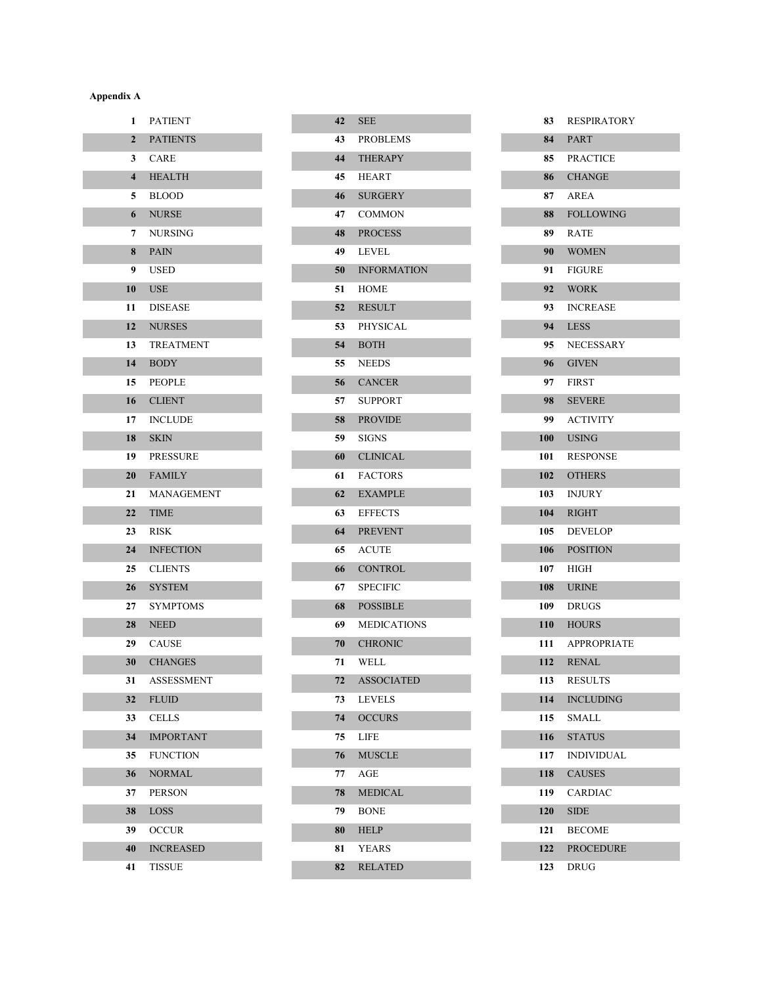### **Appendix A**

| <b>PATIENT</b>         |
|------------------------|
| <b>PATIENTS</b>        |
| <b>CARE</b>            |
| <b>HEALTH</b>          |
| <b>BLOOD</b>           |
| <b>NURSE</b>           |
| <b>NURSING</b>         |
| <b>PAIN</b>            |
| <b>USED</b>            |
| <b>USE</b>             |
| <b>DISEASE</b>         |
| <b>NURSES</b>          |
| 13<br><b>TREATMENT</b> |
| <b>BODY</b>            |
| 15<br><b>PEOPLE</b>    |
| 16 CLIENT              |
| <b>INCLUDE</b>         |
| <b>SKIN</b>            |
| 19<br><b>PRESSURE</b>  |
| <b>FAMILY</b><br>20    |
| MANAGEMENT             |
| <b>TIME</b>            |
| <b>RISK</b>            |
| <b>INFECTION</b>       |
| <b>CLIENTS</b>         |
| <b>SYSTEM</b>          |
| SYMPTOMS               |
| <b>NEED</b>            |
| <b>CAUSE</b>           |
| <b>CHANGES</b>         |
| ASSESSMENT             |
| <b>FLUID</b>           |
| <b>CELLS</b>           |
| <b>IMPORTANT</b>       |
| <b>FUNCTION</b>        |
| <b>NORMAL</b>          |
| PERSON                 |
| <b>LOSS</b>            |
| OCCUR                  |
| <b>INCREASED</b>       |
| TISSUE                 |
|                        |

| 42  | <b>SEE</b>         |
|-----|--------------------|
| 43  | <b>PROBLEMS</b>    |
| 44  | <b>THERAPY</b>     |
| 45  | <b>HEART</b>       |
| 46  | <b>SURGERY</b>     |
| 47  | <b>COMMON</b>      |
| 48  | <b>PROCESS</b>     |
| 49. | <b>LEVEL</b>       |
| 50  | <b>INFORMATION</b> |
| 51  | <b>HOME</b>        |
| 52  | <b>RESULT</b>      |
| 53  | <b>PHYSICAL</b>    |
| 54  | <b>BOTH</b>        |
| 55  | <b>NEEDS</b>       |
| 56  | <b>CANCER</b>      |
| 57  | <b>SUPPORT</b>     |
| 58  | <b>PROVIDE</b>     |
| 59  | <b>SIGNS</b>       |
| 60  | <b>CLINICAL</b>    |
| 61  | <b>FACTORS</b>     |
| 62  | <b>EXAMPLE</b>     |
| 63  | <b>EFFECTS</b>     |
| 64  | <b>PREVENT</b>     |
| 65  | <b>ACUTE</b>       |
| 66  | <b>CONTROL</b>     |
| 67  | <b>SPECIFIC</b>    |
| 68  | <b>POSSIBLE</b>    |
| 69  | <b>MEDICATIONS</b> |
| 70  | <b>CHRONIC</b>     |
| 71  | <b>WELL</b>        |
| 72  | <b>ASSOCIATED</b>  |
| 73  | <b>LEVELS</b>      |
| 74  | <b>OCCURS</b>      |
| 75  | <b>LIFE</b>        |
| 76  | <b>MUSCLE</b>      |
| 77  | AGE                |
| 78  | <b>MEDICAL</b>     |
| 79  | <b>BONE</b>        |
| 80  | <b>HELP</b>        |
| 81  | <b>YEARS</b>       |
| 82  | <b>RELATED</b>     |

| 83  | <b>RESPIRATORY</b> |
|-----|--------------------|
| 84  | <b>PART</b>        |
| 85  | PRACTICE           |
| 86  | <b>CHANGE</b>      |
| 87  | <b>AREA</b>        |
| 88  | <b>FOLLOWING</b>   |
| 89  | <b>RATE</b>        |
| 90  | <b>WOMEN</b>       |
| 91  | <b>FIGURE</b>      |
| 92  | <b>WORK</b>        |
| 93  | <b>INCREASE</b>    |
| 94  | <b>LESS</b>        |
| 95  | <b>NECESSARY</b>   |
| 96  | <b>GIVEN</b>       |
| 97  | <b>FIRST</b>       |
| 98  | <b>SEVERE</b>      |
| 99- | <b>ACTIVITY</b>    |
| 100 | <b>USING</b>       |
| 101 | <b>RESPONSE</b>    |
| 102 | <b>OTHERS</b>      |
| 103 | <b>INJURY</b>      |
| 104 | <b>RIGHT</b>       |
| 105 | <b>DEVELOP</b>     |
| 106 | <b>POSITION</b>    |
| 107 | <b>HIGH</b>        |
| 108 | <b>URINE</b>       |
| 109 | <b>DRUGS</b>       |
| 110 | <b>HOURS</b>       |
| 111 | <b>APPROPRIATE</b> |
| 112 | <b>RENAL</b>       |
| 113 | RESULTS            |
| 114 | <b>INCLUDING</b>   |
| 115 | SMALL              |
| 116 | <b>STATUS</b>      |
| 117 | <b>INDIVIDUAL</b>  |
| 118 | <b>CAUSES</b>      |
| 119 | <b>CARDIAC</b>     |
| 120 | <b>SIDE</b>        |
| 121 | <b>BECOME</b>      |
| 122 | <b>PROCEDURE</b>   |
| 123 | DRUG               |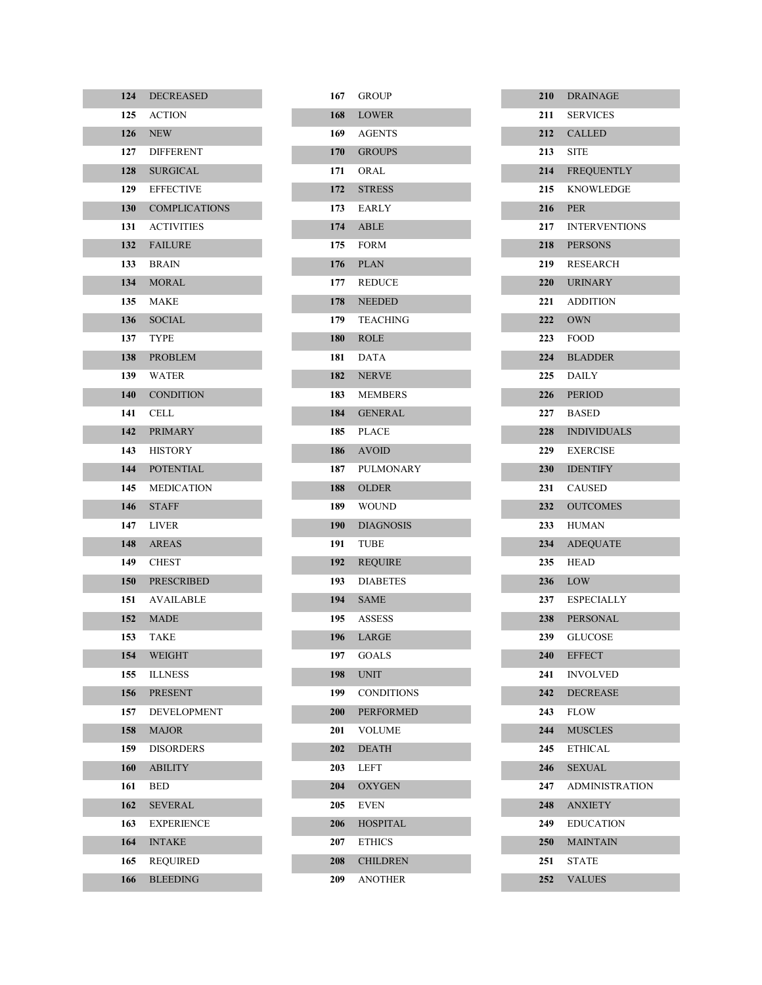| 124   | <b>DECREASED</b>     |
|-------|----------------------|
| 125   | <b>ACTION</b>        |
| 126   | <b>NEW</b>           |
| 127   | <b>DIFFERENT</b>     |
| 128   | <b>SURGICAL</b>      |
| 129   | <b>EFFECTIVE</b>     |
| 130   | <b>COMPLICATIONS</b> |
| 131   | <b>ACTIVITIES</b>    |
| 132   | <b>FAILURE</b>       |
| 133   | <b>BRAIN</b>         |
| 134   | <b>MORAL</b>         |
| 135   | <b>MAKE</b>          |
| 136   | <b>SOCIAL</b>        |
| 137   | <b>TYPE</b>          |
| 138   | <b>PROBLEM</b>       |
| 139   | WATER                |
|       | 140 CONDITION        |
| 141   | CELL.                |
| 142   | <b>PRIMARY</b>       |
| 143   | <b>HISTORY</b>       |
| 144   | <b>POTENTIAL</b>     |
| 145   | <b>MEDICATION</b>    |
| 146   | <b>STAFF</b>         |
| 147   | <b>LIVER</b>         |
| 148   | <b>AREAS</b>         |
| 149 - | <b>CHEST</b>         |
| 150   | <b>PRESCRIBED</b>    |
| 151   | <b>AVAILABLE</b>     |
| 152   | <b>MADE</b>          |
| 153   | TAKE                 |
| 154   | WEIGHT               |
| 155   | <b>ILLNESS</b>       |
| 156   | <b>PRESENT</b>       |
| 157   | DEVELOPMENT          |
| 158   | <b>MAJOR</b>         |
| 159   | <b>DISORDERS</b>     |
| 160   | <b>ABILITY</b>       |
| 161   | <b>BED</b>           |
| 162   | <b>SEVERAL</b>       |
| 163   | <b>EXPERIENCE</b>    |
| 164   | <b>INTAKE</b>        |
| 165   | <b>REQUIRED</b>      |
| 166   | <b>BLEEDING</b>      |

|     | 167 GROUP         |
|-----|-------------------|
|     | 168 LOWER         |
|     | 169 AGENTS        |
|     | 170 GROUPS        |
|     | 171 ORAL          |
| 172 | <b>STRESS</b>     |
|     | 173 EARLY         |
|     | 174 ABLE          |
|     | 175 FORM          |
|     | <b>176 PLAN</b>   |
|     | 177 REDUCE        |
| 178 | <b>NEEDED</b>     |
|     | 179 TEACHING      |
| 180 | <b>ROLE</b>       |
|     | 181 DATA          |
|     | 182 NERVE         |
|     | 183 MEMBERS       |
|     | 184 GENERAL       |
|     | 185 PLACE         |
|     | 186 AVOID         |
|     | 187 PULMONARY     |
|     | 188 OLDER         |
|     | 189 WOUND         |
| 190 | <b>DIAGNOSIS</b>  |
| 191 | TUBE              |
| 192 | <b>REQUIRE</b>    |
| 193 | <b>DIABETES</b>   |
|     | 194 SAME          |
|     | 195 ASSESS        |
| 196 | LARGE             |
| 197 | GOALS             |
| 198 | <b>UNIT</b>       |
| 199 | <b>CONDITIONS</b> |
| 200 | <b>PERFORMED</b>  |
| 201 | VOLUME            |
| 202 | <b>DEATH</b>      |
| 203 | LEFT              |
| 204 | <b>OXYGEN</b>     |
| 205 | <b>EVEN</b>       |
| 206 | <b>HOSPITAL</b>   |
| 207 | <b>ETHICS</b>     |
| 208 | <b>CHILDREN</b>   |
| 209 | ANOTHER           |

|            | 210 DRAINAGE                       |
|------------|------------------------------------|
|            | 211 SERVICES                       |
|            | 212 CALLED                         |
|            | 213 SITE                           |
|            | 214 FREQUENTLY                     |
|            | 215 KNOWLEDGE                      |
|            | 216 PER                            |
|            | 217 INTERVENTIONS                  |
|            | 218 PERSONS                        |
|            | 219 RESEARCH                       |
|            | 220 URINARY                        |
|            | 221 ADDITION                       |
|            | 222 OWN                            |
|            | 223 FOOD                           |
|            | 224 BLADDER                        |
|            | $225$ DAILY                        |
|            | 226 PERIOD                         |
|            | 227 BASED                          |
|            | 228 INDIVIDUALS                    |
|            | 229 EXERCISE                       |
|            | 230 IDENTIFY                       |
|            | 231 CAUSED                         |
|            | 232 OUTCOMES                       |
|            | 233 HUMAN                          |
|            | 234 ADEQUATE                       |
|            | 235 HEAD                           |
|            | 236 LOW                            |
|            | 237 ESPECIALLY                     |
|            | 238 PERSONAL                       |
|            | 239 GLUCOSE                        |
| 240        | <b>EFFECT</b>                      |
| 241        | <b>INVOLVED</b><br><b>DECREASE</b> |
| 242<br>243 | <b>FLOW</b>                        |
| 244        | <b>MUSCLES</b>                     |
| 245        | <b>ETHICAL</b>                     |
| 246        | <b>SEXUAL</b>                      |
| 247        | <b>ADMINISTRATION</b>              |
| 248        | <b>ANXIETY</b>                     |
| 249.       | <b>EDUCATION</b>                   |
| 250        | <b>MAINTAIN</b>                    |
| 251        | <b>STATE</b>                       |
| 252        | <b>VALUES</b>                      |
|            |                                    |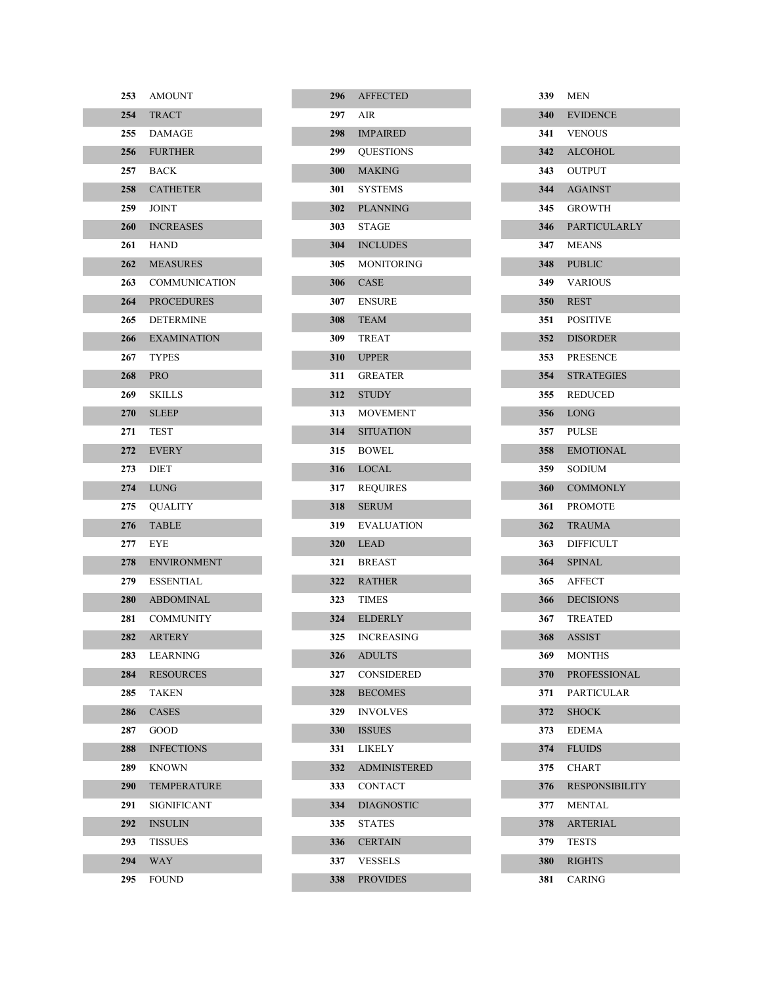| 253 | <b>AMOUNT</b>      |
|-----|--------------------|
|     | 254 TRACT          |
|     | 255 DAMAGE         |
|     | 256 FURTHER        |
|     | 257 BACK           |
|     | 258 CATHETER       |
| 259 | JOINT              |
|     | 260 INCREASES      |
|     | 261 HAND           |
|     | 262 MEASURES       |
|     | 263 COMMUNICATION  |
|     | 264 PROCEDURES     |
|     | 265 DETERMINE      |
|     | 266 EXAMINATION    |
|     | 267 TYPES          |
|     | 268 PRO            |
| 269 | SKILLS             |
|     | 270 SLEEP          |
|     | 271 TEST           |
|     | 272 EVERY          |
|     | 273 DIET           |
|     | 274 LUNG           |
|     | 275 OUALITY        |
| 276 | <b>TABLE</b>       |
| 277 | <b>EYE</b>         |
|     | 278 ENVIRONMENT    |
|     | 279 ESSENTIAL      |
|     | 280 ABDOMINAL      |
| 281 | <b>COMMUNITY</b>   |
|     | 282 ARTERY         |
| 283 | LEARNING           |
| 284 | <b>RESOURCES</b>   |
| 285 | TAKEN              |
| 286 | <b>CASES</b>       |
| 287 | GOOD               |
| 288 | <b>INFECTIONS</b>  |
| 289 | KNOWN              |
| 290 | <b>TEMPERATURE</b> |
| 291 | SIGNIFICANT        |
| 292 | <b>INSULIN</b>     |
| 293 | TISSUES            |
| 294 | WAY                |
| 295 | FOUND              |

|            | 296 AFFECTED        |
|------------|---------------------|
|            | 297 AIR             |
|            | 298 IMPAIRED        |
|            | 299 OUESTIONS       |
| <b>300</b> | <b>MAKING</b>       |
|            | 301 SYSTEMS         |
| 302        | <b>PLANNING</b>     |
|            | <b>303</b> STAGE    |
|            | 304 INCLUDES        |
|            | 305 MONITORING      |
|            | 306 CASE            |
|            | 307 ENSURE          |
| <b>308</b> | <b>TEAM</b>         |
|            | 309 TREAT           |
|            | 310 UPPER           |
|            | 311 GREATER         |
|            | 312 STUDY           |
|            | 313 MOVEMENT        |
|            | 314 SITUATION       |
|            | 315 BOWEL           |
|            | 316 LOCAL           |
|            | 317 REQUIRES        |
| 318        | <b>SERUM</b>        |
|            | 319 EVALUATION      |
|            | 320 LEAD            |
|            | 321 BREAST          |
| 322        | <b>RATHER</b>       |
|            | <b>323</b> TIMES    |
| 324        | <b>ELDERLY</b>      |
| 325        | <b>INCREASING</b>   |
| 326        | <b>ADULTS</b>       |
| 327        | <b>CONSIDERED</b>   |
| 328        | <b>BECOMES</b>      |
| 329        | <b>INVOLVES</b>     |
| <b>330</b> | <b>ISSUES</b>       |
| 331        | <b>LIKELY</b>       |
| 332        | <b>ADMINISTERED</b> |
| 333        | <b>CONTACT</b>      |
| 334        | <b>DIAGNOSTIC</b>   |
| 335        | <b>STATES</b>       |
| 336        | <b>CERTAIN</b>      |
| 337        | <b>VESSELS</b>      |
| 338        | <b>PROVIDES</b>     |

|            | 339 MEN               |
|------------|-----------------------|
|            | 340 EVIDENCE          |
|            | 341 VENOUS            |
|            | 342 ALCOHOL           |
|            | 343 OUTPUT            |
|            | 344 AGAINST           |
|            | 345 GROWTH            |
|            | 346 PARTICULARLY      |
|            | 347 MEANS             |
|            | 348 PUBLIC            |
|            | 349 VARIOUS           |
|            | 350 REST              |
|            | 351 POSITIVE          |
|            | 352 DISORDER          |
| 353        | <b>PRESENCE</b>       |
|            | 354 STRATEGIES        |
|            | 355 REDUCED           |
|            | <b>356</b> LONG       |
| 357        | <b>PULSE</b>          |
|            | 358 EMOTIONAL         |
|            | 359 SODIUM            |
| <b>360</b> | <b>COMMONLY</b>       |
| 361 -      | <b>PROMOTE</b>        |
| 362        | <b>TRAUMA</b>         |
| 363        | <b>DIFFICULT</b>      |
| 364        | <b>SPINAL</b>         |
| 365        | AFFECT                |
| 366        | <b>DECISIONS</b>      |
| 367 -      | <b>TREATED</b>        |
| 368        | <b>ASSIST</b>         |
| 369        | <b>MONTHS</b>         |
| 370        | <b>PROFESSIONAL</b>   |
| 371        | <b>PARTICULAR</b>     |
| 372        | <b>SHOCK</b>          |
| 373        | <b>EDEMA</b>          |
| 374        | <b>FLUIDS</b>         |
| 375        | <b>CHART</b>          |
| 376        | <b>RESPONSIBILITY</b> |
| 377        | <b>MENTAL</b>         |
| 378        | <b>ARTERIAL</b>       |
| 379        | <b>TESTS</b>          |
| <b>380</b> | <b>RIGHTS</b>         |
| 381        | CARING                |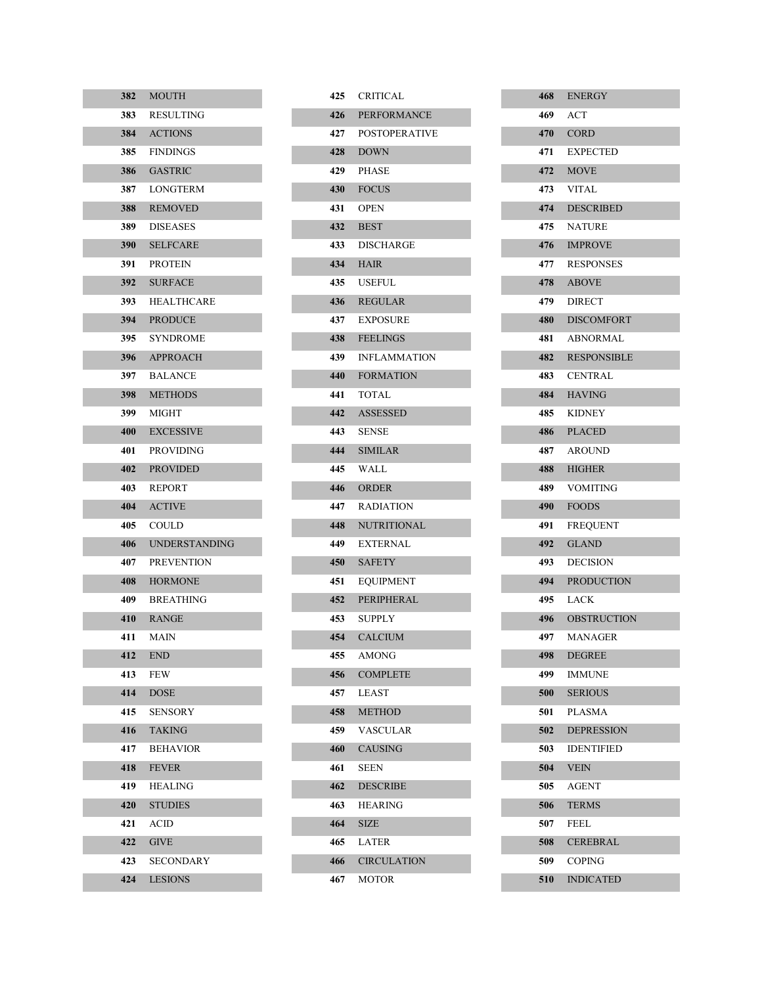| 382               | <b>MOUTH</b>         |
|-------------------|----------------------|
| 383               | <b>RESULTING</b>     |
| 384               | <b>ACTIONS</b>       |
| 385 -             | <b>FINDINGS</b>      |
| 386               | <b>GASTRIC</b>       |
| 387 -             | LONGTERM             |
| 388               | <b>REMOVED</b>       |
| 389.              | <b>DISEASES</b>      |
| 390 <b>System</b> | <b>SELFCARE</b>      |
| 391 -             | <b>PROTEIN</b>       |
| 392               | <b>SURFACE</b>       |
| 393.              | <b>HEALTHCARE</b>    |
| 394 -             | <b>PRODUCE</b>       |
| 395 —             | <b>SYNDROME</b>      |
| 396               | APPROACH             |
| 397 -             | <b>BALANCE</b>       |
| 398               | <b>METHODS</b>       |
| 399 -             | <b>MIGHT</b>         |
| 400               | <b>EXCESSIVE</b>     |
| 401               | PROVIDING            |
| 402               | <b>PROVIDED</b>      |
| 403               | REPORT               |
| 404               | <b>ACTIVE</b>        |
| 405               | COULD                |
| 406               | <b>UNDERSTANDING</b> |
| 407               | <b>PREVENTION</b>    |
| 408               | <b>HORMONE</b>       |
| 409               | <b>BREATHING</b>     |
| 410               | <b>RANGE</b>         |
| 411               | MAIN                 |
| 412               | END                  |
| 413               | FEW                  |
| 414               | <b>DOSE</b>          |
| 415               | <b>SENSORY</b>       |
| 416               | <b>TAKING</b>        |
| 417               | <b>BEHAVIOR</b>      |
| 418               | <b>FEVER</b>         |
| 419               | HEALING              |
| 420               | <b>STUDIES</b>       |
| 421               | ACID                 |
| 422               | <b>GIVE</b>          |
| 423               | SECONDARY            |
| 424               | LESIONS              |

|     | 425 CRITICAL       |
|-----|--------------------|
|     | 426 PERFORMANCE    |
|     | 427 POSTOPERATIVE  |
|     | 428 DOWN           |
|     | 429 PHASE          |
|     | 430 FOCUS          |
|     | <b>431 OPEN</b>    |
|     | 432 BEST           |
|     | 433 DISCHARGE      |
|     | <b>434 HAIR</b>    |
|     | 435 USEFUL         |
|     | 436 REGULAR        |
|     | 437 EXPOSURE       |
|     | 438 FEELINGS       |
|     | 439 INFLAMMATION   |
|     | 440 FORMATION      |
|     | 441 TOTAL          |
|     | 442 ASSESSED       |
|     | <b>443</b> SENSE   |
|     | 444 SIMILAR        |
|     | 445 WALL           |
|     | 446 ORDER          |
|     | 447 RADIATION      |
| 448 | <b>NUTRITIONAL</b> |
|     | 449 EXTERNAL       |
|     | 450 SAFETY         |
| 451 | <b>EQUIPMENT</b>   |
| 452 | <b>PERIPHERAL</b>  |
|     | 453 SUPPLY         |
|     | 454 CALCIUM        |
| 455 | AMONG              |
| 456 | <b>COMPLETE</b>    |
| 457 | LEAST              |
| 458 | <b>METHOD</b>      |
| 459 | VASCULAR           |
| 460 | <b>CAUSING</b>     |
| 461 | <b>SEEN</b>        |
| 462 | <b>DESCRIBE</b>    |
| 463 | <b>HEARING</b>     |
| 464 | <b>SIZE</b>        |
| 465 | <b>LATER</b>       |
| 466 | <b>CIRCULATION</b> |
| 467 | MOTOR              |

|       | 468 ENERGY         |
|-------|--------------------|
|       | 469 ACT            |
|       | 470 CORD           |
| 471   | <b>EXPECTED</b>    |
|       | <b>472 MOVE</b>    |
|       | 473 VITAL          |
|       | 474 DESCRIBED      |
| 475   | <b>NATURE</b>      |
|       | 476 IMPROVE        |
|       | 477 RESPONSES      |
|       | 478 ABOVE          |
| 479   | <b>DIRECT</b>      |
|       | 480 DISCOMFORT     |
|       | 481 ABNORMAL       |
| 482   | <b>RESPONSIBLE</b> |
|       | 483 CENTRAL        |
|       | 484 HAVING         |
|       | 485 KIDNEY         |
|       | 486 PLACED         |
| 487   | <b>AROUND</b>      |
|       | 488 HIGHER         |
| 489   | VOMITING           |
| 490 — | <b>FOODS</b>       |
| 491   | <b>FREQUENT</b>    |
|       | 492 GLAND          |
| 493   | <b>DECISION</b>    |
| 494   | <b>PRODUCTION</b>  |
| 495   | <b>LACK</b>        |
| 496   | <b>OBSTRUCTION</b> |
| 497   | <b>MANAGER</b>     |
| 498   | <b>DEGREE</b>      |
| 499   | <b>IMMUNE</b>      |
| 500   | <b>SERIOUS</b>     |
| 501   | <b>PLASMA</b>      |
| 502   | <b>DEPRESSION</b>  |
| 503   | <b>IDENTIFIED</b>  |
| 504   | <b>VEIN</b>        |
| 505   | <b>AGENT</b>       |
| 506   | <b>TERMS</b>       |
| 507   | <b>FEEL</b>        |
| 508   | <b>CEREBRAL</b>    |
| 509   | <b>COPING</b>      |
| 510   | <b>INDICATED</b>   |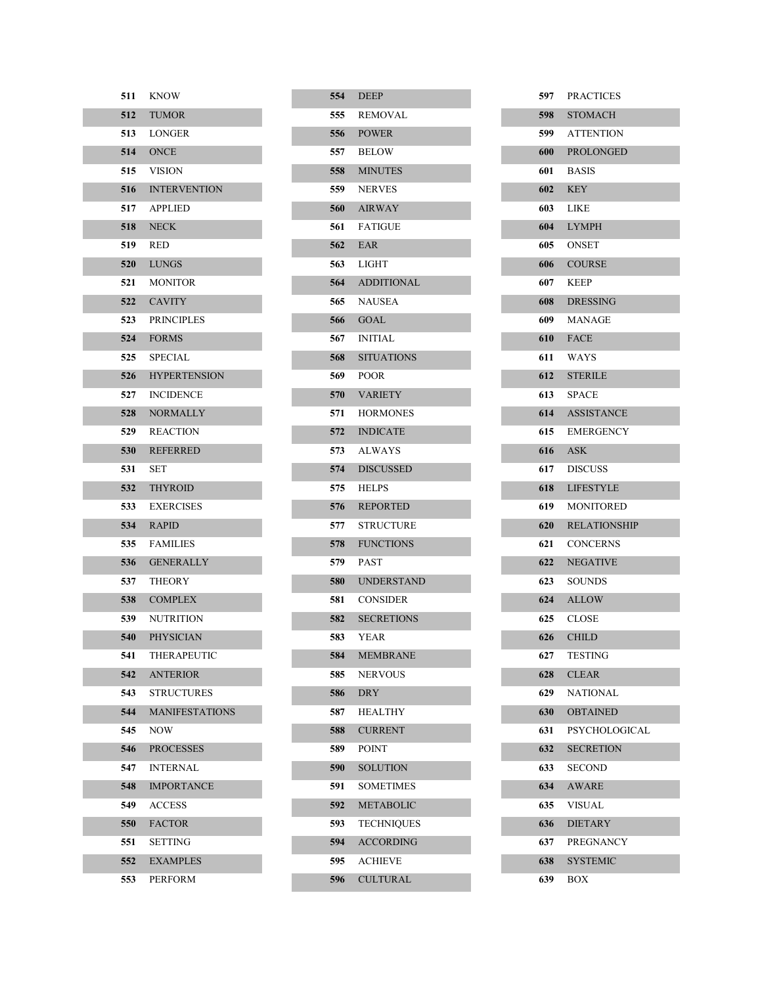| 511     | KNOW                    |
|---------|-------------------------|
| 512     | <b>TUMOR</b>            |
|         | 513 LONGER              |
|         | <b>514 ONCE</b>         |
|         | 515 VISION              |
|         | <b>516 INTERVENTION</b> |
|         | 517 APPLIED             |
|         | <b>518</b> NECK         |
| 519 RED |                         |
|         | 520 LUNGS               |
|         | <b>521 MONITOR</b>      |
|         | 522 CAVITY              |
|         | 523 PRINCIPLES          |
|         | 524 FORMS               |
|         | 525 SPECIAL             |
| 526     | <b>HYPERTENSION</b>     |
|         | 527 INCIDENCE           |
| 528     | <b>NORMALLY</b>         |
| 529     | <b>REACTION</b>         |
| 530     | <b>REFERRED</b>         |
| 531     | <b>SET</b>              |
|         | 532 THYROID             |
| 533     | <b>EXERCISES</b>        |
|         | 534 RAPID               |
| 535     | <b>FAMILIES</b>         |
|         | 536 GENERALLY           |
| 537     | <b>THEORY</b>           |
|         | 538 COMPLEX             |
| 539     | <b>NUTRITION</b>        |
|         | 540 PHYSICIAN           |
| 541     | THERAPEUTIC             |
| 542     | <b>ANTERIOR</b>         |
| 543     | <b>STRUCTURES</b>       |
| 544     | <b>MANIFESTATIONS</b>   |
| 545     | NOW                     |
| 546     | <b>PROCESSES</b>        |
| 547     | <b>INTERNAL</b>         |
| 548     | <b>IMPORTANCE</b>       |
| 549     | <b>ACCESS</b>           |
| 550     | <b>FACTOR</b>           |
| 551     | SETTING                 |
| 552     | <b>EXAMPLES</b>         |
| 553     | <b>PERFORM</b>          |

| 554        | <b>DEEP</b>           |
|------------|-----------------------|
| 555        | REMOVAL               |
| 556        | <b>POWER</b>          |
| 557 -      | <b>BELOW</b>          |
| 558        | <b>MINUTES</b>        |
|            | 559 NERVES            |
| 560        | <b>AIRWAY</b>         |
| 561        | <b>FATIGUE</b>        |
| 562        | EAR                   |
|            | 563 LIGHT             |
|            | <b>564 ADDITIONAL</b> |
|            | 565 NAUSEA            |
| 566        | <b>GOAL</b>           |
|            | 567 INITIAL           |
|            | 568 SITUATIONS        |
|            | 569 POOR              |
| 570 -      | <b>VARIETY</b>        |
| 571        | <b>HORMONES</b>       |
| 572        | <b>INDICATE</b>       |
| 573        | ALWAYS                |
| 574        | <b>DISCUSSED</b>      |
| 575        | <b>HELPS</b>          |
| 576        | <b>REPORTED</b>       |
| 577        | STRUCTURE             |
| 578        | <b>FUNCTIONS</b>      |
| 579 -      | PAST                  |
| <b>580</b> | <b>UNDERSTAND</b>     |
| 581        | <b>CONSIDER</b>       |
| 582        | <b>SECRETIONS</b>     |
| 583        | YEAR                  |
| 584        | <b>MEMBRANE</b>       |
| 585        | <b>NERVOUS</b>        |
| 586        | <b>DRY</b>            |
| 587        | HEALTHY               |
| 588        | <b>CURRENT</b>        |
| 589        | POINT                 |
| 590        | <b>SOLUTION</b>       |
| 591        | <b>SOMETIMES</b>      |
| 592        | <b>METABOLIC</b>      |
| 593        | <b>TECHNIQUES</b>     |
| 594        | <b>ACCORDING</b>      |
| 595        | <b>ACHIEVE</b>        |
| 596        | <b>CULTURAL</b>       |

| 597   | <b>PRACTICES</b>    |
|-------|---------------------|
| 598   | <b>STOMACH</b>      |
|       | 599 ATTENTION       |
| 600 - | PROLONGED           |
| 601 — | <b>BASIS</b>        |
| 602   | <b>KEY</b>          |
| 603 — | LIKE                |
| 604   | <b>LYMPH</b>        |
|       | <b>605 ONSET</b>    |
| 606   | <b>COURSE</b>       |
| 607 - | KEEP                |
| 608   | <b>DRESSING</b>     |
| 609 — | <b>MANAGE</b>       |
| 610   | <b>FACE</b>         |
|       | 611 WAYS            |
| 612   | <b>STERILE</b>      |
|       | 613 SPACE           |
| 614   | <b>ASSISTANCE</b>   |
| 615   | <b>EMERGENCY</b>    |
| 616   | <b>ASK</b>          |
| 617   | <b>DISCUSS</b>      |
| 618   | <b>LIFESTYLE</b>    |
| 619 — | <b>MONITORED</b>    |
| 620   | <b>RELATIONSHIP</b> |
| 621   | <b>CONCERNS</b>     |
| 622   | <b>NEGATIVE</b>     |
| 623   | <b>SOUNDS</b>       |
| 624   | <b>ALLOW</b>        |
| 625   | <b>CLOSE</b>        |
| 626   | <b>CHILD</b>        |
| 627   | <b>TESTING</b>      |
| 628   | <b>CLEAR</b>        |
| 629   | <b>NATIONAL</b>     |
| 630   | <b>OBTAINED</b>     |
| 631   | PSYCHOLOGICAL       |
| 632   | <b>SECRETION</b>    |
| 633   | <b>SECOND</b>       |
| 634   | <b>AWARE</b>        |
| 635   | <b>VISUAL</b>       |
| 636   | <b>DIETARY</b>      |
| 637   | <b>PREGNANCY</b>    |
| 638   | <b>SYSTEMIC</b>     |
| 639   | BOX                 |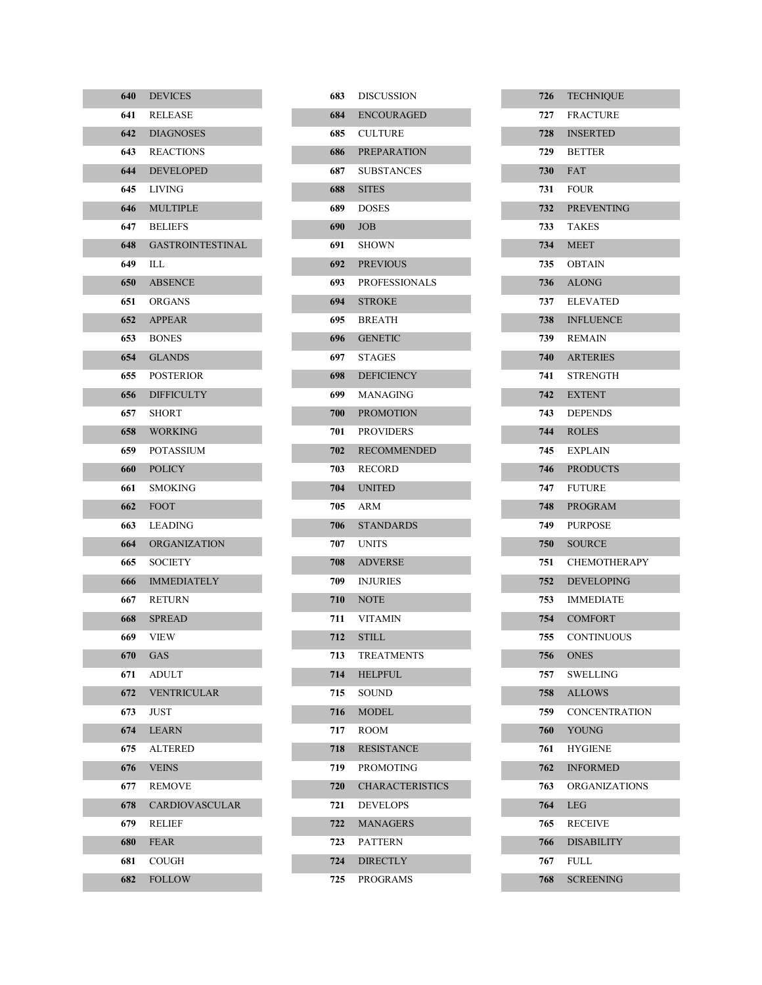| 640   | <b>DEVICES</b>          |
|-------|-------------------------|
| 641   | RELEASE                 |
| 642   | <b>DIAGNOSES</b>        |
| 643   | <b>REACTIONS</b>        |
| 644   | <b>DEVELOPED</b>        |
| 645   | LIVING                  |
| 646   | <b>MULTIPLE</b>         |
| 647   | <b>BELIEFS</b>          |
| 648   | <b>GASTROINTESTINAL</b> |
| 649 - | ILL                     |
| 650   | <b>ABSENCE</b>          |
| 651   | <b>ORGANS</b>           |
| 652   | <b>APPEAR</b>           |
| 653   | <b>BONES</b>            |
| 654   | <b>GLANDS</b>           |
| 655   | <b>POSTERIOR</b>        |
| 656   | <b>DIFFICULTY</b>       |
| 657   | SHORT                   |
| 658   | <b>WORKING</b>          |
| 659 — | <b>POTASSIUM</b>        |
| 660   | <b>POLICY</b>           |
| 661   | SMOKING                 |
| 662   | <b>FOOT</b>             |
| 663   | LEADING                 |
| 664   | <b>ORGANIZATION</b>     |
| 665   | <b>SOCIETY</b>          |
| 666   | <b>IMMEDIATELY</b>      |
| 667 - | <b>RETURN</b>           |
| 668   | <b>SPREAD</b>           |
| 669 — | VIEW                    |
| 670   | GAS                     |
| 671   | ADULT                   |
| 672   | <b>VENTRICULAR</b>      |
| 673   | JUST                    |
| 674   | <b>LEARN</b>            |
| 675   | ALTERED                 |
| 676   | <b>VEINS</b>            |
| 677   | <b>REMOVE</b>           |
| 678   | <b>CARDIOVASCULAR</b>   |
| 679   | RELIEF                  |
| 680   | <b>FEAR</b>             |
| 681   | COUGH                   |
| 682   | <b>FOLLOW</b>           |

T,

I.

| 683   | <b>DISCUSSION</b>      |
|-------|------------------------|
| 684   | <b>ENCOURAGED</b>      |
| 685 - | <b>CULTURE</b>         |
| 686 - | <b>PREPARATION</b>     |
| 687 - | <b>SUBSTANCES</b>      |
| 688 - | <b>SITES</b>           |
| 689 - | <b>DOSES</b>           |
| 690 — | <b>JOB</b>             |
| 691   | SHOWN                  |
|       | 692 PREVIOUS           |
| 693   | <b>PROFESSIONALS</b>   |
|       | 694 STROKE             |
| 695   | <b>BREATH</b>          |
|       | 696 GENETIC            |
|       | 697 STAGES             |
| 698 — | <b>DEFICIENCY</b>      |
| 699   | MANAGING               |
| 700   | <b>PROMOTION</b>       |
| 701   | <b>PROVIDERS</b>       |
| 702   | <b>RECOMMENDED</b>     |
| 703 - | RECORD                 |
| 704   | <b>UNITED</b>          |
| 705 - | ARM                    |
| 706 — | <b>STANDARDS</b>       |
| 707   | <b>UNITS</b>           |
| 708   | <b>ADVERSE</b>         |
| 709   | <b>INJURIES</b>        |
| 710   | <b>NOTE</b>            |
| 711   | <b>VITAMIN</b>         |
| 712   | <b>STILL</b>           |
| 713   | TREATMENTS             |
| 714   | <b>HELPFUL</b>         |
| 715   | <b>SOUND</b>           |
| 716   | MODEL.                 |
| 717   | <b>ROOM</b>            |
| 718   | <b>RESISTANCE</b>      |
| 719   | <b>PROMOTING</b>       |
| 720   | <b>CHARACTERISTICS</b> |
| 721   | <b>DEVELOPS</b>        |
| 722   | <b>MANAGERS</b>        |
| 723   | <b>PATTERN</b>         |
| 724   | <b>DIRECTLY</b>        |
| 725   | PROGRAMS               |

| 726  | <b>TECHNIQUE</b>     |
|------|----------------------|
| 727  | <b>FRACTURE</b>      |
| 728  | <b>INSERTED</b>      |
| 729  | <b>BETTER</b>        |
| 730  | <b>FAT</b>           |
| 731  | <b>FOUR</b>          |
| 732  | <b>PREVENTING</b>    |
| 733  | <b>TAKES</b>         |
| 734  | <b>MEET</b>          |
|      | 735 OBTAIN           |
| 736  | <b>ALONG</b>         |
| 737  | <b>ELEVATED</b>      |
| 738  | <b>INFLUENCE</b>     |
| 739  | <b>REMAIN</b>        |
| 740  | <b>ARTERIES</b>      |
| 741  | <b>STRENGTH</b>      |
| 742  | <b>EXTENT</b>        |
| 743  | <b>DEPENDS</b>       |
|      | 744 ROLES            |
|      | 745 EXPLAIN          |
| 746  | <b>PRODUCTS</b>      |
| 747  | <b>FUTURE</b>        |
| 748  | <b>PROGRAM</b>       |
| 749  | <b>PURPOSE</b>       |
|      | 750 SOURCE           |
| 751  | <b>CHEMOTHERAPY</b>  |
| 752  | <b>DEVELOPING</b>    |
| 753  | <b>IMMEDIATE</b>     |
|      | 754 COMFORT          |
| 755  | <b>CONTINUOUS</b>    |
| 756  | <b>ONES</b>          |
| 757  | <b>SWELLING</b>      |
| 758  | <b>ALLOWS</b>        |
| 759. | <b>CONCENTRATION</b> |
| 760  | <b>YOUNG</b>         |
| 761  | <b>HYGIENE</b>       |
| 762  | <b>INFORMED</b>      |
| 763  | <b>ORGANIZATIONS</b> |
| 764  | LEG                  |
| 765  | <b>RECEIVE</b>       |
| 766  | <b>DISABILITY</b>    |
| 767  | FULL                 |
| 768  | <b>SCREENING</b>     |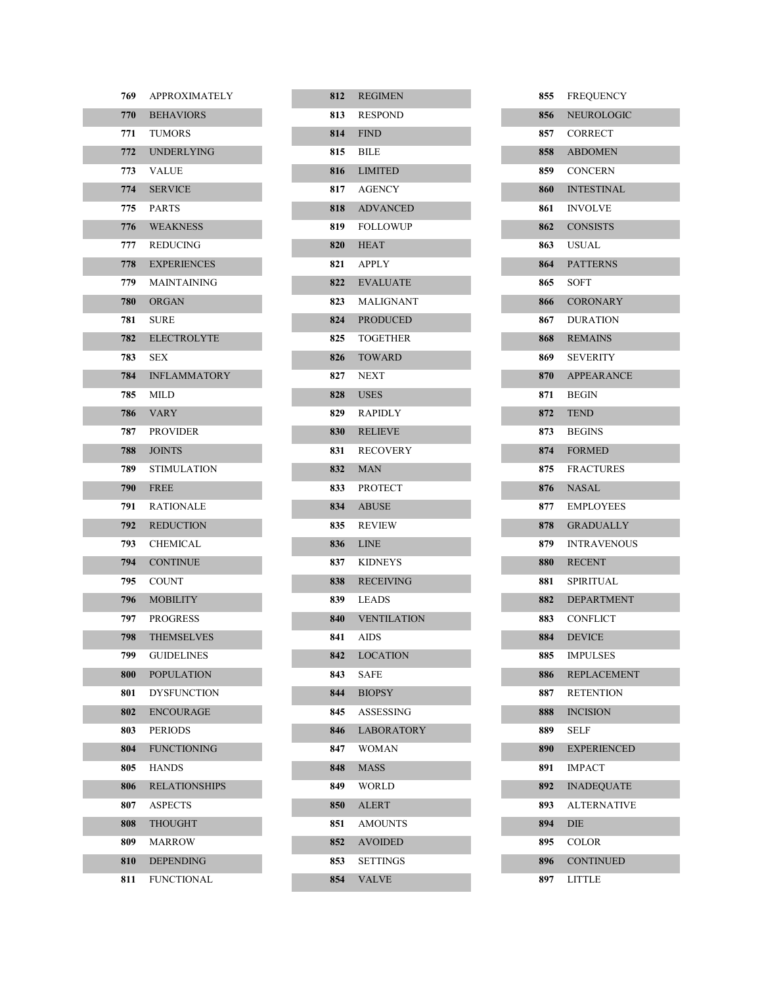| 769   | <b>APPROXIMATELY</b> |
|-------|----------------------|
|       | 770 BEHAVIORS        |
| 771   | <b>TUMORS</b>        |
|       | 772 UNDERLYING       |
| 773   | <b>VALUE</b>         |
| 774   | <b>SERVICE</b>       |
|       | 775 PARTS            |
|       | 776 WEAKNESS         |
|       | 777 REDUCING         |
| 778   | <b>EXPERIENCES</b>   |
| 779 - | <b>MAINTAINING</b>   |
|       | 780 ORGAN            |
| 781   | <b>SURE</b>          |
| 782   | <b>ELECTROLYTE</b>   |
| 783   | <b>SEX</b>           |
|       | 784 INFLAMMATORY     |
| 785   | MILD                 |
|       | 786 VARY             |
| 787 - | <b>PROVIDER</b>      |
|       | 788 JOINTS           |
|       | 789 STIMULATION      |
| 790 — | <b>FREE</b>          |
| 791   | <b>RATIONALE</b>     |
| 792   | <b>REDUCTION</b>     |
| 793   | <b>CHEMICAL</b>      |
|       | 794 CONTINUE         |
| 795 - | <b>COUNT</b>         |
| 796 — | <b>MOBILITY</b>      |
| 797   | <b>PROGRESS</b>      |
| 798 — | <b>THEMSELVES</b>    |
| 799   | <b>GUIDELINES</b>    |
| 800   | <b>POPULATION</b>    |
| 801   | <b>DYSFUNCTION</b>   |
| 802   | <b>ENCOURAGE</b>     |
| 803   | <b>PERIODS</b>       |
| 804   | <b>FUNCTIONING</b>   |
| 805.  | <b>HANDS</b>         |
| 806   | <b>RELATIONSHIPS</b> |
| 807   | <b>ASPECTS</b>       |
| 808   | <b>THOUGHT</b>       |
| 809-  | <b>MARROW</b>        |
| 810   | <b>DEPENDING</b>     |
| 811   | <b>FUNCTIONAL</b>    |

| 812   | <b>REGIMEN</b>    |
|-------|-------------------|
| 813   | <b>RESPOND</b>    |
|       | <b>814</b> FIND   |
|       | 815 BILE          |
| 816   | <b>LIMITED</b>    |
|       | 817 AGENCY        |
| 818   | <b>ADVANCED</b>   |
| 819 — | <b>FOLLOWUP</b>   |
| 820   | <b>HEAT</b>       |
|       | 821 APPLY         |
|       | 822 EVALUATE      |
| 823   | MALIGNANT         |
| 824   | <b>PRODUCED</b>   |
|       | 825 TOGETHER      |
| 826   | <b>TOWARD</b>     |
| 827   | <b>NEXT</b>       |
|       | <b>828</b> USES   |
|       | 829 RAPIDLY       |
| 830   | <b>RELIEVE</b>    |
| 831   | <b>RECOVERY</b>   |
| 832   | <b>MAN</b>        |
|       | 833 PROTECT       |
| 834   | <b>ABUSE</b>      |
| 835 — | <b>REVIEW</b>     |
| 836   | <b>LINE</b>       |
| 837   | <b>KIDNEYS</b>    |
| 838   | <b>RECEIVING</b>  |
| 839 — | <b>LEADS</b>      |
| 840   | VENTILATION       |
| 841   | AIDS              |
| 842   | <b>LOCATION</b>   |
| 843   | SAFE              |
| 844   | <b>BIOPSY</b>     |
| 845   | ASSESSING         |
| 846   | <b>LABORATORY</b> |
| 847   | WOMAN             |
| 848   | <b>MASS</b>       |
| 849   | WORLD             |
| 850   | <b>ALERT</b>      |
| 851   | <b>AMOUNTS</b>    |
| 852   | <b>AVOIDED</b>    |
| 853   | <b>SETTINGS</b>   |
| 854   | <b>VALVE</b>      |

| 855        | <b>FREQUENCY</b>   |
|------------|--------------------|
| 856        | NEUROLOGIC         |
|            | 857 CORRECT        |
|            | 858 ABDOMEN        |
|            | 859 CONCERN        |
|            | 860 INTESTINAL     |
|            | 861 INVOLVE        |
|            | 862 CONSISTS       |
|            | 863 USUAL          |
|            | 864 PATTERNS       |
|            | 865 SOFT           |
|            | 866 CORONARY       |
|            | 867 DURATION       |
|            | 868 REMAINS        |
|            | 869 SEVERITY       |
|            | 870 APPEARANCE     |
|            | 871 BEGIN          |
|            | <b>872</b> TEND    |
|            | 873 BEGINS         |
|            | 874 FORMED         |
|            | 875 FRACTURES      |
|            | 876 NASAL          |
|            | 877 EMPLOYEES      |
| 878 -      | <b>GRADUALLY</b>   |
| 879 —      | <b>INTRAVENOUS</b> |
| <b>880</b> | <b>RECENT</b>      |
| 881 -      | SPIRITUAL          |
| 882        | <b>DEPARTMENT</b>  |
| 883 —      | <b>CONFLICT</b>    |
| 884        | <b>DEVICE</b>      |
| 885        | <b>IMPULSES</b>    |
| 886        | <b>REPLACEMENT</b> |
| 887        | <b>RETENTION</b>   |
| 888        | <b>INCISION</b>    |
| 889        | <b>SELF</b>        |
| 890        | <b>EXPERIENCED</b> |
| 891        | <b>IMPACT</b>      |
| 892        | <b>INADEQUATE</b>  |
| 893        | <b>ALTERNATIVE</b> |
| 894        | DIE                |
| 895        | COLOR              |
| 896        | <b>CONTINUED</b>   |
| 897        | LITTLE             |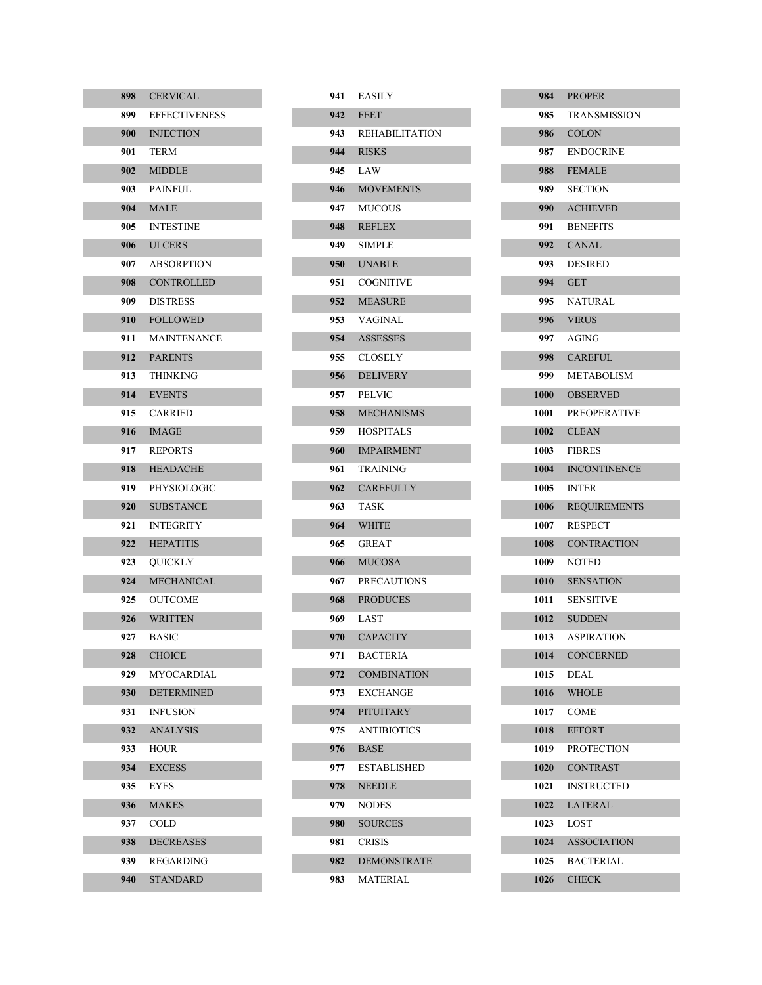| 898   | <b>CERVICAL</b>      |
|-------|----------------------|
| 899 — | <b>EFFECTIVENESS</b> |
| 900 — | <b>INJECTION</b>     |
| 901 — | <b>TERM</b>          |
| 902   | <b>MIDDLE</b>        |
| 903 — | <b>PAINFUL</b>       |
|       | <b>904 MALE</b>      |
| 905 — | <b>INTESTINE</b>     |
|       | 906 ULCERS           |
| 907 — | <b>ABSORPTION</b>    |
|       | 908 CONTROLLED       |
| 909 — | <b>DISTRESS</b>      |
| 910 — | <b>FOLLOWED</b>      |
| 911 - | MAINTENANCE          |
|       | 912 PARENTS          |
| 913   | <b>THINKING</b>      |
| 914   | <b>EVENTS</b>        |
| 915   | CARRIED              |
| 916   | <b>IMAGE</b>         |
| 917   | <b>REPORTS</b>       |
| 918   | <b>HEADACHE</b>      |
| 919 - | PHYSIOLOGIC          |
| 920 — | <b>SUBSTANCE</b>     |
| 921.  | INTEGRITY            |
| 922   | <b>HEPATITIS</b>     |
| 923   | OUICKLY              |
| 924   | <b>MECHANICAL</b>    |
| 925   | OUTCOME              |
| 926   | <b>WRITTEN</b>       |
| 927 - | <b>BASIC</b>         |
| 928   | <b>CHOICE</b>        |
| 929.  | MYOCARDIAL           |
| 930   | <b>DETERMINED</b>    |
| 931   | <b>INFUSION</b>      |
| 932   | <b>ANALYSIS</b>      |
| 933   | HOUR                 |
| 934   | <b>EXCESS</b>        |
| 935   | EYES                 |
| 936   | <b>MAKES</b>         |
| 937   | COLD                 |
| 938   | <b>DECREASES</b>     |
| 939.  | REGARDING            |
| 940   | STANDARD             |

| 941   | <b>EASILY</b>      |
|-------|--------------------|
| 942   | <b>FEET</b>        |
|       | 943 REHABILITATION |
|       | 944 RISKS          |
| 945 — | LAW                |
| 946 - | <b>MOVEMENTS</b>   |
|       | 947 MUCOUS         |
| 948   | <b>REFLEX</b>      |
| 949 — | <b>SIMPLE</b>      |
| 950 - | <b>INABLE</b>      |
| 951   | <b>COGNITIVE</b>   |
|       | 952 MEASURE        |
| 953   | VAGINAL            |
| 954   | ASSESSES           |
| 955 — | <b>CLOSELY</b>     |
| 956   | <b>DELIVERY</b>    |
| 957 - | <b>PELVIC</b>      |
| 958   | <b>MECHANISMS</b>  |
| 959 - | <b>HOSPITALS</b>   |
| 960 - | <b>IMPAIRMENT</b>  |
| 961   | TRAINING           |
| 962   | <b>CAREFULLY</b>   |
| 963 — | TASK               |
|       | 964 WHITE          |
| 965 — | GREAT              |
| 966 - | <b>MUCOSA</b>      |
| 967 - | <b>PRECAUTIONS</b> |
| 968 - | <b>PRODUCES</b>    |
| 969 — | LAST               |
| 970 — | <b>CAPACITY</b>    |
| 971   | <b>BACTERIA</b>    |
| 972   | <b>COMBINATION</b> |
| 973.  | <b>EXCHANGE</b>    |
| 974   | <b>PITUITARY</b>   |
| 975.  | ANTIBIOTICS        |
| 976   | <b>BASE</b>        |
| 977.  | <b>ESTABLISHED</b> |
| 978   | <b>NEEDLE</b>      |
| 979.  | <b>NODES</b>       |
| 980   | <b>SOURCES</b>     |
| 981   | <b>CRISIS</b>      |
| 982   | <b>DEMONSTRATE</b> |
| 983   | MATERIAL           |

|       | 984 PROPER         |
|-------|--------------------|
| 985 - | TRANSMISSION       |
|       | 986 COLON          |
|       | 987 ENDOCRINE      |
|       | 988 FEMALE         |
|       | 989 SECTION        |
|       | 990 ACHIEVED       |
|       | 991 BENEFITS       |
|       | 992 CANAL          |
|       | 993 DESIRED        |
|       | 994 GET            |
|       | 995 NATURAL        |
|       | 996 VIRUS          |
|       | 997 AGING          |
|       | 998 CAREFUL        |
|       | 999 METABOLISM     |
|       | 1000 OBSERVED      |
|       | 1001 PREOPERATIVE  |
|       | 1002 CLEAN         |
|       | 1003 FIBRES        |
|       | 1004 INCONTINENCE  |
|       | 1005 INTER         |
|       | 1006 REQUIREMENTS  |
|       | 1007 RESPECT       |
|       | 1008 CONTRACTION   |
|       | 1009 NOTED         |
|       | 1010 SENSATION     |
|       | 1011 SENSITIVE     |
|       | 1012 SUDDEN        |
|       | 1013 ASPIRATION    |
| 1014  | <b>CONCERNED</b>   |
| 1015  | <b>DEAL</b>        |
| 1016  | <b>WHOLE</b>       |
| 1017  | <b>COME</b>        |
| 1018  | <b>EFFORT</b>      |
| 1019  | <b>PROTECTION</b>  |
| 1020  | <b>CONTRAST</b>    |
| 1021  | <b>INSTRUCTED</b>  |
| 1022  | <b>LATERAL</b>     |
| 1023  | LOST               |
| 1024  | <b>ASSOCIATION</b> |
| 1025  | <b>BACTERIAL</b>   |
| 1026  | <b>CHECK</b>       |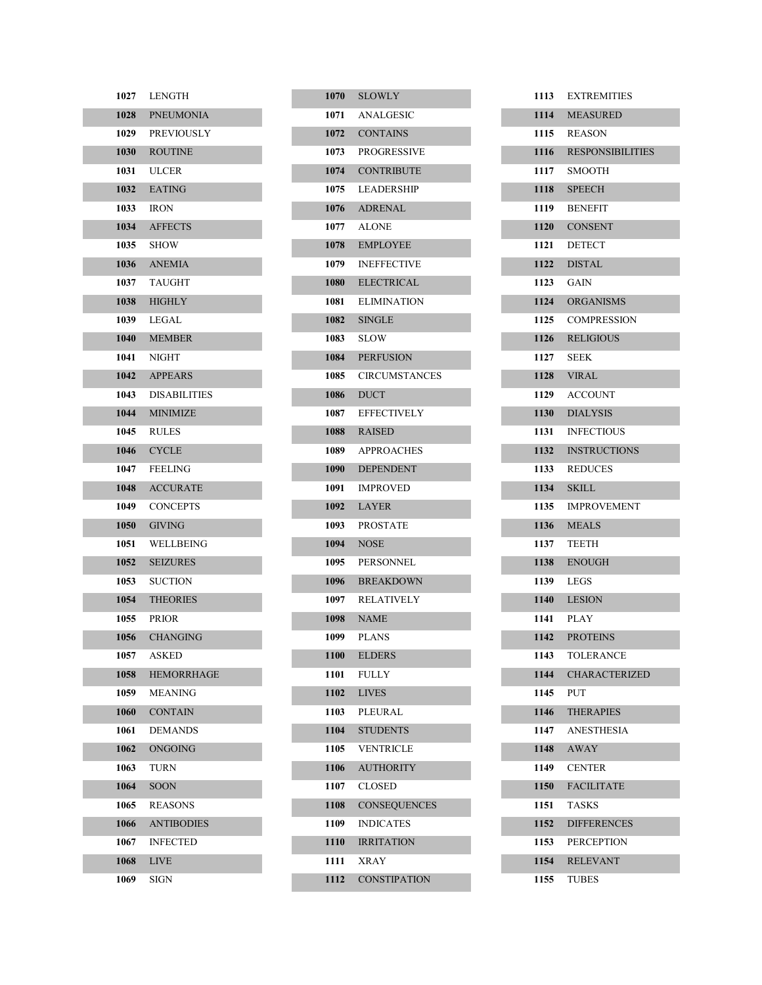| 1027 | LENGTH              |
|------|---------------------|
| 1028 | <b>PNEUMONIA</b>    |
| 1029 | <b>PREVIOUSLY</b>   |
| 1030 | <b>ROUTINE</b>      |
| 1031 | <b>ULCER</b>        |
| 1032 | <b>EATING</b>       |
| 1033 | <b>IRON</b>         |
| 1034 | <b>AFFECTS</b>      |
| 1035 | SHOW                |
| 1036 | <b>ANEMIA</b>       |
| 1037 | <b>TAUGHT</b>       |
| 1038 | <b>HIGHLY</b>       |
| 1039 | LEGAL               |
| 1040 | <b>MEMBER</b>       |
| 1041 | <b>NIGHT</b>        |
| 1042 | <b>APPEARS</b>      |
| 1043 | <b>DISABILITIES</b> |
| 1044 | <b>MINIMIZE</b>     |
| 1045 | <b>RULES</b>        |
| 1046 | <b>CYCLE</b>        |
| 1047 | <b>FEELING</b>      |
| 1048 | <b>ACCURATE</b>     |
| 1049 | <b>CONCEPTS</b>     |
| 1050 | <b>GIVING</b>       |
| 1051 | WELLBEING           |
| 1052 | <b>SEIZURES</b>     |
| 1053 | <b>SUCTION</b>      |
| 1054 | <b>THEORIES</b>     |
| 1055 | <b>PRIOR</b>        |
| 1056 | <b>CHANGING</b>     |
| 1057 | <b>ASKED</b>        |
| 1058 | <b>HEMORRHAGE</b>   |
| 1059 | MEANING             |
| 1060 | <b>CONTAIN</b>      |
| 1061 | <b>DEMANDS</b>      |
| 1062 | ONGOING             |
| 1063 | TURN                |
| 1064 | <b>SOON</b>         |
| 1065 | <b>REASONS</b>      |
| 1066 | <b>ANTIBODIES</b>   |
| 1067 | <b>INFECTED</b>     |
| 1068 | LIVE                |
| 1069 | SIGN                |

|      | 1070 SLOWLY         |
|------|---------------------|
|      | 1071 ANALGESIC      |
|      | 1072 CONTAINS       |
| 1073 | <b>PROGRESSIVE</b>  |
| 1074 | <b>CONTRIBUTE</b>   |
|      | 1075 LEADERSHIP     |
|      | 1076 ADRENAL        |
| 1077 | <b>ALONE</b>        |
| 1078 | <b>EMPLOYEE</b>     |
|      | 1079 INEFFECTIVE    |
| 1080 | <b>ELECTRICAL</b>   |
| 1081 | <b>ELIMINATION</b>  |
| 1082 | <b>SINGLE</b>       |
|      | 1083 SLOW           |
|      | 1084 PERFUSION      |
|      | 1085 CIRCUMSTANCES  |
|      | 1086 DUCT           |
| 1087 | <b>EFFECTIVELY</b>  |
|      | 1088 RAISED         |
|      | 1089 APPROACHES     |
| 1090 | <b>DEPENDENT</b>    |
| 1091 | <b>IMPROVED</b>     |
|      | <b>1092</b> LAYER   |
|      | 1093 PROSTATE       |
| 1094 | <b>NOSE</b>         |
|      | 1095 PERSONNEL      |
| 1096 | <b>BREAKDOWN</b>    |
| 1097 | <b>RELATIVELY</b>   |
| 1098 | <b>NAME</b>         |
| 1099 | PLANS               |
| 1100 | <b>ELDERS</b>       |
| 1101 | <b>FULLY</b>        |
| 1102 | <b>LIVES</b>        |
| 1103 | PLEURAL             |
| 1104 | <b>STUDENTS</b>     |
| 1105 | <b>VENTRICLE</b>    |
| 1106 | <b>AUTHORITY</b>    |
| 1107 | CLOSED              |
| 1108 | <b>CONSEQUENCES</b> |
| 1109 | <b>INDICATES</b>    |
| 1110 | <b>IRRITATION</b>   |
| 1111 | XRAY                |
| 1112 | <b>CONSTIPATION</b> |

| 1113 | <b>EXTREMITIES</b>      |
|------|-------------------------|
| 1114 | <b>MEASURED</b>         |
| 1115 | <b>REASON</b>           |
| 1116 | <b>RESPONSIBILITIES</b> |
| 1117 | SMOOTH                  |
| 1118 | <b>SPEECH</b>           |
| 1119 | <b>BENEFIT</b>          |
| 1120 | <b>CONSENT</b>          |
| 1121 | <b>DETECT</b>           |
| 1122 | <b>DISTAL</b>           |
| 1123 | GAIN                    |
| 1124 | <b>ORGANISMS</b>        |
| 1125 | <b>COMPRESSION</b>      |
| 1126 | <b>RELIGIOUS</b>        |
| 1127 | <b>SEEK</b>             |
| 1128 | VIRAL                   |
| 1129 | <b>ACCOUNT</b>          |
| 1130 | <b>DIALYSIS</b>         |
| 1131 | <b>INFECTIOUS</b>       |
| 1132 | <b>INSTRUCTIONS</b>     |
| 1133 | <b>REDUCES</b>          |
| 1134 | <b>SKILL</b>            |
| 1135 | <b>IMPROVEMENT</b>      |
| 1136 | <b>MEALS</b>            |
| 1137 | <b>TEETH</b>            |
| 1138 | <b>ENOUGH</b>           |
| 1139 | <b>LEGS</b>             |
| 1140 | <b>LESION</b>           |
| 1141 | PLAY                    |
| 1142 | <b>PROTEINS</b>         |
| 1143 | <b>TOLERANCE</b>        |
| 1144 | <b>CHARACTERIZED</b>    |
| 1145 | PUT                     |
| 1146 | <b>THERAPIES</b>        |
| 1147 | <b>ANESTHESIA</b>       |
| 1148 | <b>AWAY</b>             |
| 1149 | <b>CENTER</b>           |
| 1150 | <b>FACILITATE</b>       |
| 1151 | <b>TASKS</b>            |
| 1152 | <b>DIFFERENCES</b>      |
| 1153 | <b>PERCEPTION</b>       |
| 1154 | <b>RELEVANT</b>         |
| 1155 | TUBES                   |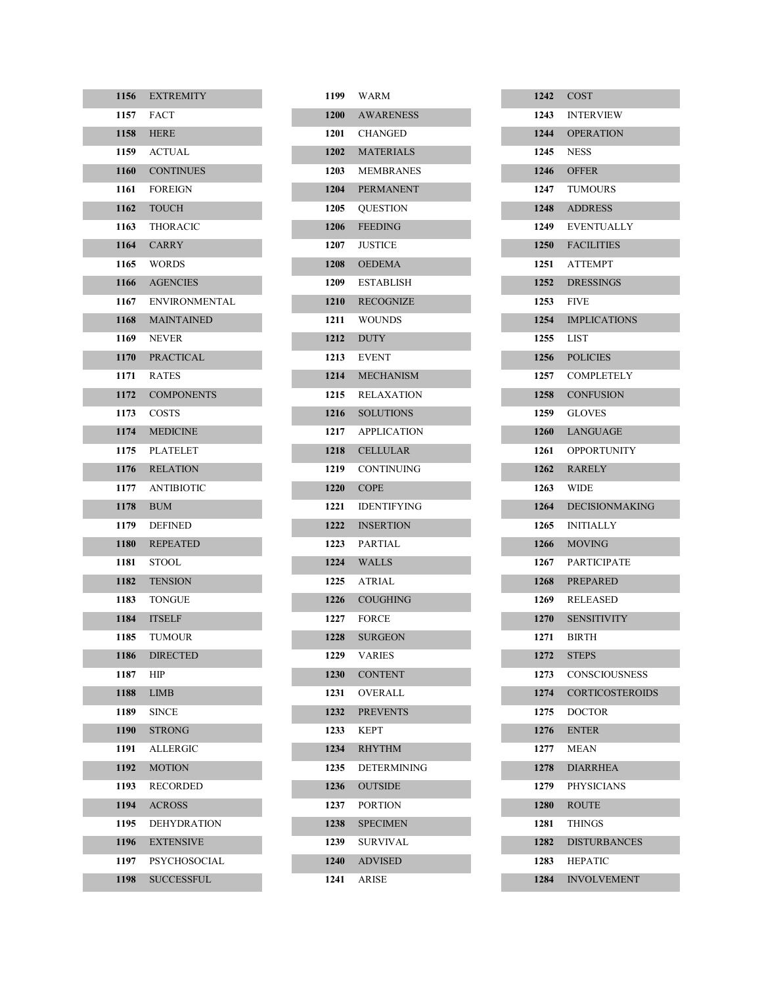| 1156 | <b>EXTREMITY</b>     |
|------|----------------------|
| 1157 | <b>FACT</b>          |
| 1158 | <b>HERE</b>          |
| 1159 | <b>ACTUAL</b>        |
| 1160 | <b>CONTINUES</b>     |
| 1161 | <b>FOREIGN</b>       |
| 1162 | <b>TOUCH</b>         |
| 1163 | <b>THORACIC</b>      |
| 1164 | <b>CARRY</b>         |
| 1165 | <b>WORDS</b>         |
| 1166 | <b>AGENCIES</b>      |
| 1167 | <b>ENVIRONMENTAL</b> |
| 1168 | <b>MAINTAINED</b>    |
| 1169 | <b>NEVER</b>         |
| 1170 | <b>PRACTICAL</b>     |
| 1171 | <b>RATES</b>         |
| 1172 | <b>COMPONENTS</b>    |
| 1173 | <b>COSTS</b>         |
| 1174 | <b>MEDICINE</b>      |
| 1175 | <b>PLATELET</b>      |
| 1176 | <b>RELATION</b>      |
| 1177 | <b>ANTIBIOTIC</b>    |
| 1178 | <b>BUM</b>           |
| 1179 | <b>DEFINED</b>       |
| 1180 | <b>REPEATED</b>      |
| 1181 | STOOL                |
| 1182 | <b>TENSION</b>       |
| 1183 | <b>TONGUE</b>        |
| 1184 | <b>ITSELF</b>        |
| 1185 | <b>TUMOUR</b>        |
| 1186 | <b>DIRECTED</b>      |
| 1187 | HIP                  |
| 1188 | LIMB                 |
| 1189 | <b>SINCE</b>         |
| 1190 | <b>STRONG</b>        |
| 1191 | ALLERGIC             |
| 1192 | <b>MOTION</b>        |
| 1193 | RECORDED             |
| 1194 | <b>ACROSS</b>        |
| 1195 | DEHYDRATION          |
| 1196 | <b>EXTENSIVE</b>     |
| 1197 | PSYCHOSOCIAL         |
| 1198 | <b>SUCCESSFUL</b>    |

| 1199 | <b>WARM</b>        |
|------|--------------------|
|      | 1200 AWARENESS     |
|      | 1201 CHANGED       |
| 1202 | <b>MATERIALS</b>   |
| 1203 | <b>MEMBRANES</b>   |
| 1204 | <b>PERMANENT</b>   |
|      | 1205 QUESTION      |
| 1206 | <b>FEEDING</b>     |
| 1207 | <b>JUSTICE</b>     |
|      | 1208 OEDEMA        |
|      | 1209 ESTABLISH     |
|      | 1210 RECOGNIZE     |
| 1211 | <b>WOUNDS</b>      |
| 1212 | <b>DUTY</b>        |
|      | <b>1213</b> EVENT  |
|      | 1214 MECHANISM     |
|      | 1215 RELAXATION    |
|      | 1216 SOLUTIONS     |
|      | 1217 APPLICATION   |
| 1218 | <b>CELLULAR</b>    |
|      | 1219 CONTINUING    |
| 1220 | <b>COPE</b>        |
| 1221 | <b>IDENTIFYING</b> |
| 1222 | <b>INSERTION</b>   |
| 1223 | <b>PARTIAL</b>     |
| 1224 | WALLS              |
|      | 1225 ATRIAL        |
| 1226 | <b>COUGHING</b>    |
|      | 1227 FORCE         |
| 1228 | <b>SURGEON</b>     |
| 1229 | VARIES             |
| 1230 | <b>CONTENT</b>     |
| 1231 | <b>OVERALL</b>     |
| 1232 | <b>PREVENTS</b>    |
| 1233 | <b>KEPT</b>        |
| 1234 | <b>RHYTHM</b>      |
| 1235 | <b>DETERMINING</b> |
| 1236 | <b>OUTSIDE</b>     |
| 1237 | <b>PORTION</b>     |
| 1238 | <b>SPECIMEN</b>    |
| 1239 | SURVIVAL           |
| 1240 | <b>ADVISED</b>     |
| 1241 | ARISE              |

|      | 1242 COST              |
|------|------------------------|
|      | 1243 INTERVIEW         |
|      | 1244 OPERATION         |
|      | 1245 NESS              |
|      | <b>1246</b> OFFER      |
|      | 1247 TUMOURS           |
|      | 1248 ADDRESS           |
|      | 1249 EVENTUALLY        |
|      | 1250 FACILITIES        |
|      | 1251 ATTEMPT           |
|      | 1252 DRESSINGS         |
|      | 1253 FIVE              |
|      | 1254 IMPLICATIONS      |
|      | 1255 LIST              |
|      | 1256 POLICIES          |
|      | 1257 COMPLETELY        |
|      | 1258 CONFUSION         |
|      | 1259 GLOVES            |
|      | 1260 LANGUAGE          |
|      | 1261 OPPORTUNITY       |
|      | 1262 RARELY            |
|      | 1263 WIDE              |
|      | 1264 DECISIONMAKING    |
|      | 1265 INITIALLY         |
|      | 1266 MOVING            |
|      | 1267 PARTICIPATE       |
|      | 1268 PREPARED          |
|      | 1269 RELEASED          |
|      | 1270 SENSITIVITY       |
|      | 1271 BIRTH             |
| 1272 | <b>STEPS</b>           |
| 1273 | CONSCIOUSNESS          |
| 1274 | <b>CORTICOSTEROIDS</b> |
| 1275 | <b>DOCTOR</b>          |
| 1276 | ENTER                  |
| 1277 | MEAN                   |
| 1278 | <b>DIARRHEA</b>        |
| 1279 | <b>PHYSICIANS</b>      |
| 1280 | <b>ROUTE</b>           |
| 1281 | <b>THINGS</b>          |
| 1282 | <b>DISTURBANCES</b>    |
| 1283 | <b>HEPATIC</b>         |
| 1284 | <b>INVOLVEMENT</b>     |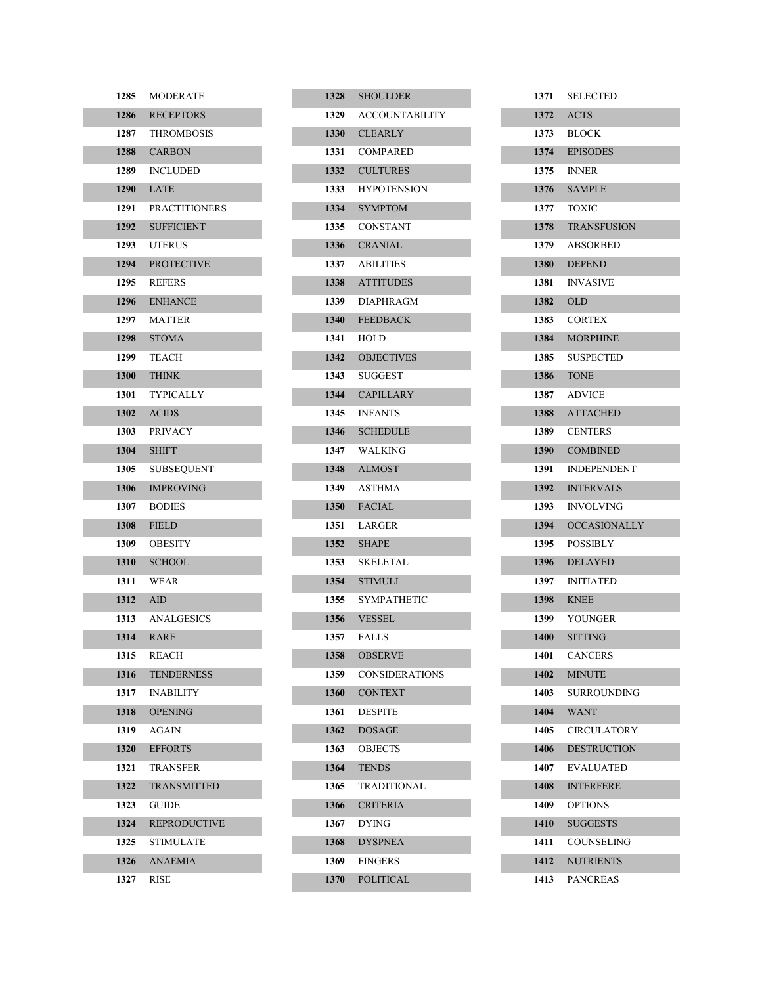| 1285     | MODERATE             |
|----------|----------------------|
| 1286     | <b>RECEPTORS</b>     |
| 1287     | <b>THROMBOSIS</b>    |
|          | 1288 CARBON          |
| 1289     | <b>INCLUDED</b>      |
| 1290     | LATE                 |
| 1291     | <b>PRACTITIONERS</b> |
| 1292     | <b>SUFFICIENT</b>    |
| 1293     | <b>UTERUS</b>        |
| 1294     | <b>PROTECTIVE</b>    |
| 1295     | <b>REFERS</b>        |
| 1296     | <b>ENHANCE</b>       |
| 1297     | <b>MATTER</b>        |
| 1298     | <b>STOMA</b>         |
| 1299     | <b>TEACH</b>         |
|          | <b>1300 THINK</b>    |
| 1301     | <b>TYPICALLY</b>     |
| 1302     | <b>ACIDS</b>         |
| 1303     | <b>PRIVACY</b>       |
| 1304     | <b>SHIFT</b>         |
| 1305     | <b>SUBSEQUENT</b>    |
| 1306     | <b>IMPROVING</b>     |
| 1307     | <b>BODIES</b>        |
| 1308     | <b>FIELD</b>         |
| 1309     | <b>OBESITY</b>       |
| 1310     | <b>SCHOOL</b>        |
| 1311     | <b>WEAR</b>          |
| 1312 AID |                      |
| 1313     | <b>ANALGESICS</b>    |
|          | <b>1314 RARE</b>     |
| 1315     | <b>REACH</b>         |
| 1316     | <b>TENDERNESS</b>    |
| 1317     | <b>INABILITY</b>     |
| 1318     | <b>OPENING</b>       |
| 1319     | AGAIN                |
| 1320     | <b>EFFORTS</b>       |
| 1321     | TRANSFER             |
| 1322     | <b>TRANSMITTED</b>   |
| 1323     | GUIDE                |
| 1324     | <b>REPRODUCTIVE</b>  |
| 1325     | STIMULATE            |
| 1326     | <b>ANAEMIA</b>       |
| 1327     | RISE                 |

|      | 1328 SHOULDER         |
|------|-----------------------|
|      | 1329 ACCOUNTABILITY   |
|      | 1330 CLEARLY          |
|      | 1331 COMPARED         |
| 1332 | <b>CULTURES</b>       |
|      | 1333 HYPOTENSION      |
|      | 1334 SYMPTOM          |
|      | 1335 CONSTANT         |
|      | 1336 CRANIAL          |
|      | 1337 ABILITIES        |
|      | 1338 ATTITUDES        |
|      | 1339 DIAPHRAGM        |
|      | 1340 FEEDBACK         |
|      | 1341 HOLD             |
|      | 1342 OBJECTIVES       |
|      | 1343 SUGGEST          |
|      | 1344 CAPILLARY        |
|      | 1345 INFANTS          |
|      | 1346 SCHEDULE         |
| 1347 | WALKING               |
|      | 1348 ALMOST           |
|      | 1349 ASTHMA           |
|      | 1350 FACIAL           |
|      | 1351 LARGER           |
|      | 1352 SHAPE            |
| 1353 | SKELETAL              |
|      | 1354 STIMULI          |
| 1355 | <b>SYMPATHETIC</b>    |
|      | 1356 VESSEL           |
|      | 1357 FALLS            |
| 1358 | <b>OBSERVE</b>        |
| 1359 | <b>CONSIDERATIONS</b> |
| 1360 | <b>CONTEXT</b>        |
| 1361 | <b>DESPITE</b>        |
| 1362 | <b>DOSAGE</b>         |
| 1363 | <b>OBJECTS</b>        |
| 1364 | <b>TENDS</b>          |
| 1365 | <b>TRADITIONAL</b>    |
| 1366 | <b>CRITERIA</b>       |
| 1367 | <b>DYING</b>          |
| 1368 | <b>DYSPNEA</b>        |
| 1369 | <b>FINGERS</b>        |
| 1370 | <b>POLITICAL</b>      |

| 1371 | <b>SELECTED</b>     |
|------|---------------------|
| 1372 | <b>ACTS</b>         |
| 1373 | <b>BLOCK</b>        |
| 1374 | <b>EPISODES</b>     |
| 1375 | <b>INNER</b>        |
| 1376 | <b>SAMPLE</b>       |
| 1377 | <b>TOXIC</b>        |
| 1378 | <b>TRANSFUSION</b>  |
| 1379 | <b>ABSORBED</b>     |
| 1380 | <b>DEPEND</b>       |
| 1381 | <b>INVASIVE</b>     |
| 1382 | <b>OLD</b>          |
| 1383 | <b>CORTEX</b>       |
| 1384 | <b>MORPHINE</b>     |
| 1385 | <b>SUSPECTED</b>    |
| 1386 | <b>TONE</b>         |
| 1387 | <b>ADVICE</b>       |
| 1388 | <b>ATTACHED</b>     |
| 1389 | <b>CENTERS</b>      |
| 1390 | <b>COMBINED</b>     |
| 1391 | <b>INDEPENDENT</b>  |
| 1392 | <b>INTERVALS</b>    |
| 1393 | <b>INVOLVING</b>    |
| 1394 | <b>OCCASIONALLY</b> |
| 1395 | <b>POSSIBLY</b>     |
| 1396 | <b>DELAYED</b>      |
| 1397 | <b>INITIATED</b>    |
| 1398 | <b>KNEE</b>         |
| 1399 | YOUNGER             |
| 1400 | <b>SITTING</b>      |
| 1401 | <b>CANCERS</b>      |
| 1402 | <b>MINUTE</b>       |
| 1403 | SURROUNDING         |
| 1404 | <b>WANT</b>         |
| 1405 | <b>CIRCULATORY</b>  |
| 1406 | <b>DESTRUCTION</b>  |
| 1407 | <b>EVALUATED</b>    |
| 1408 | <b>INTERFERE</b>    |
| 1409 | <b>OPTIONS</b>      |
| 1410 | <b>SUGGESTS</b>     |
| 1411 | COUNSELING          |
| 1412 | <b>NUTRIENTS</b>    |
| 1413 | PANCREAS            |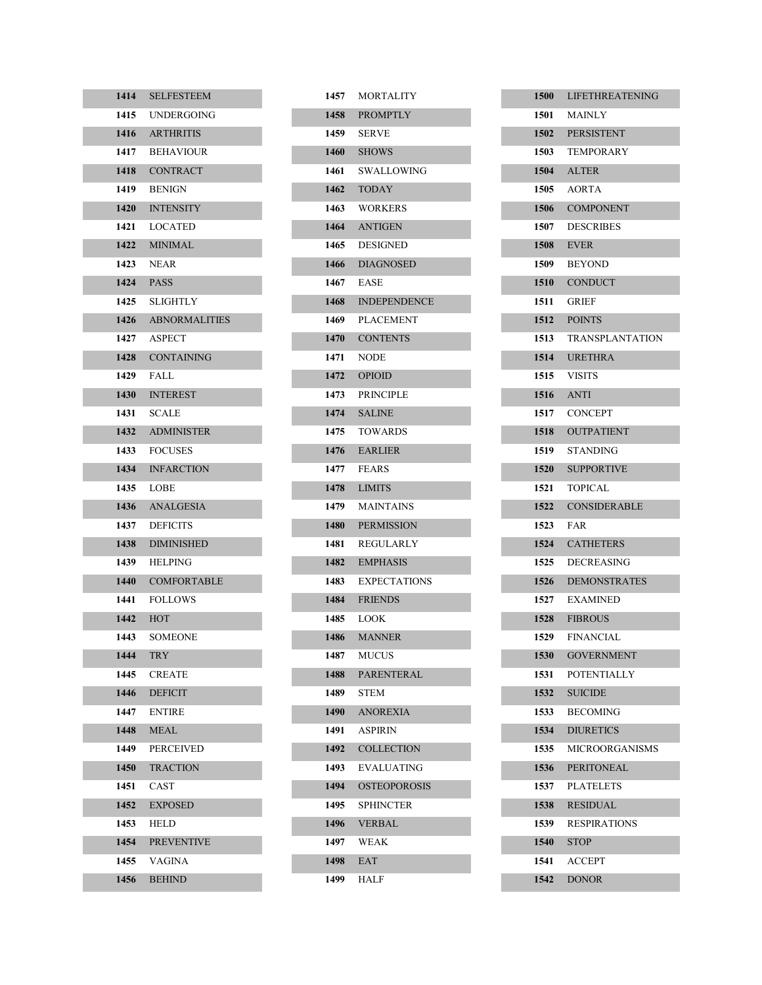| 1414 | <b>SELFESTEEM</b>    |
|------|----------------------|
| 1415 | UNDERGOING           |
| 1416 | <b>ARTHRITIS</b>     |
| 1417 | <b>BEHAVIOUR</b>     |
| 1418 | <b>CONTRACT</b>      |
| 1419 | <b>BENIGN</b>        |
| 1420 | <b>INTENSITY</b>     |
| 1421 | <b>LOCATED</b>       |
| 1422 | <b>MINIMAL</b>       |
| 1423 | <b>NEAR</b>          |
| 1424 | <b>PASS</b>          |
| 1425 | SLIGHTLY             |
| 1426 | <b>ABNORMALITIES</b> |
| 1427 | <b>ASPECT</b>        |
| 1428 | <b>CONTAINING</b>    |
| 1429 | FALL                 |
| 1430 | <b>INTEREST</b>      |
| 1431 | <b>SCALE</b>         |
| 1432 | <b>ADMINISTER</b>    |
| 1433 | <b>FOCUSES</b>       |
| 1434 | <b>INFARCTION</b>    |
| 1435 | LOBE                 |
| 1436 | ANALGESIA            |
| 1437 | <b>DEFICITS</b>      |
| 1438 | <b>DIMINISHED</b>    |
| 1439 | HELPING              |
| 1440 | <b>COMFORTABLE</b>   |
| 1441 | <b>FOLLOWS</b>       |
| 1442 | <b>HOT</b>           |
| 1443 | SOMEONE              |
| 1444 | TRY                  |
| 1445 | <b>CREATE</b>        |
| 1446 | <b>DEFICIT</b>       |
| 1447 | <b>ENTIRE</b>        |
| 1448 | MEAL                 |
| 1449 | <b>PERCEIVED</b>     |
| 1450 | <b>TRACTION</b>      |
| 1451 | CAST                 |
| 1452 | <b>EXPOSED</b>       |
| 1453 | HELD                 |
| 1454 | <b>PREVENTIVE</b>    |
| 1455 | VAGINA               |
| 1456 | <b>BEHIND</b>        |

|      | 1457 MORTALITY      |
|------|---------------------|
|      | 1458 PROMPTLY       |
| 1459 | <b>SERVE</b>        |
|      | 1460 SHOWS          |
| 1461 | SWALLOWING          |
|      | 1462 TODAY          |
| 1463 | <b>WORKERS</b>      |
|      | 1464 ANTIGEN        |
|      | 1465 DESIGNED       |
|      | 1466 DIAGNOSED      |
|      | 1467 EASE           |
|      | 1468 INDEPENDENCE   |
|      | 1469 PLACEMENT      |
|      | 1470 CONTENTS       |
| 1471 | <b>NODE</b>         |
|      | 1472 OPIOID         |
|      | 1473 PRINCIPLE      |
|      | 1474 SALINE         |
| 1475 | <b>TOWARDS</b>      |
|      | 1476 EARLIER        |
|      | 1477 FEARS          |
|      | 1478 LIMITS         |
| 1479 | <b>MAINTAINS</b>    |
|      | 1480 PERMISSION     |
| 1481 | REGULARLY           |
|      | 1482 EMPHASIS       |
| 1483 | <b>EXPECTATIONS</b> |
| 1484 | <b>FRIENDS</b>      |
| 1485 | LOOK                |
| 1486 | <b>MANNER</b>       |
| 1487 | <b>MUCUS</b>        |
| 1488 | PARENTERAL          |
| 1489 | <b>STEM</b>         |
| 1490 | <b>ANOREXIA</b>     |
| 1491 | ASPIRIN             |
| 1492 | COLLECTION          |
| 1493 | EVALUATING          |
| 1494 | <b>OSTEOPOROSIS</b> |
| 1495 | <b>SPHINCTER</b>    |
| 1496 | <b>VERBAL</b>       |
| 1497 | WEAK                |
| 1498 | EAT                 |
| 1499 | HALF                |

|              | 1500 LIFETHREATENING          |
|--------------|-------------------------------|
|              | 1501 MAINLY                   |
|              | 1502 PERSISTENT               |
|              | 1503 TEMPORARY                |
|              | 1504 ALTER                    |
|              | 1505 AORTA                    |
|              | 1506 COMPONENT                |
|              | 1507 DESCRIBES                |
|              | 1508 EVER                     |
|              | 1509 BEYOND                   |
|              | 1510 CONDUCT                  |
|              | 1511 GRIEF                    |
|              | 1512 POINTS                   |
|              | 1513 TRANSPLANTATION          |
|              | 1514 URETHRA                  |
| 1515         | VISITS                        |
|              | 1516 ANTI                     |
|              | 1517 CONCEPT                  |
|              | 1518 OUTPATIENT               |
|              | 1519 STANDING                 |
|              | 1520 SUPPORTIVE               |
| 1521         | TOPICAL                       |
|              | 1522 CONSIDERABLE             |
| 1523         | FAR                           |
|              | 1524 CATHETERS                |
|              |                               |
|              | 1525 DECREASING               |
|              | 1526 DEMONSTRATES             |
| 1527         | <b>EXAMINED</b>               |
|              | 1528 FIBROUS                  |
|              | 1529 FINANCIAL                |
| 1530         | <b>GOVERNMENT</b>             |
| 1531         | <b>POTENTIALLY</b>            |
| 1532         | <b>SUICIDE</b>                |
| 1533         | <b>BECOMING</b>               |
| 1534         | <b>DIURETICS</b>              |
| 1535         | <b>MICROORGANISMS</b>         |
| 1536         | <b>PERITONEAL</b>             |
| 1537         | <b>PLATELETS</b>              |
| 1538         | <b>RESIDUAL</b>               |
| 1539         | <b>RESPIRATIONS</b>           |
| 1540         | <b>STOP</b>                   |
| 1541<br>1542 | <b>ACCEPT</b><br><b>DONOR</b> |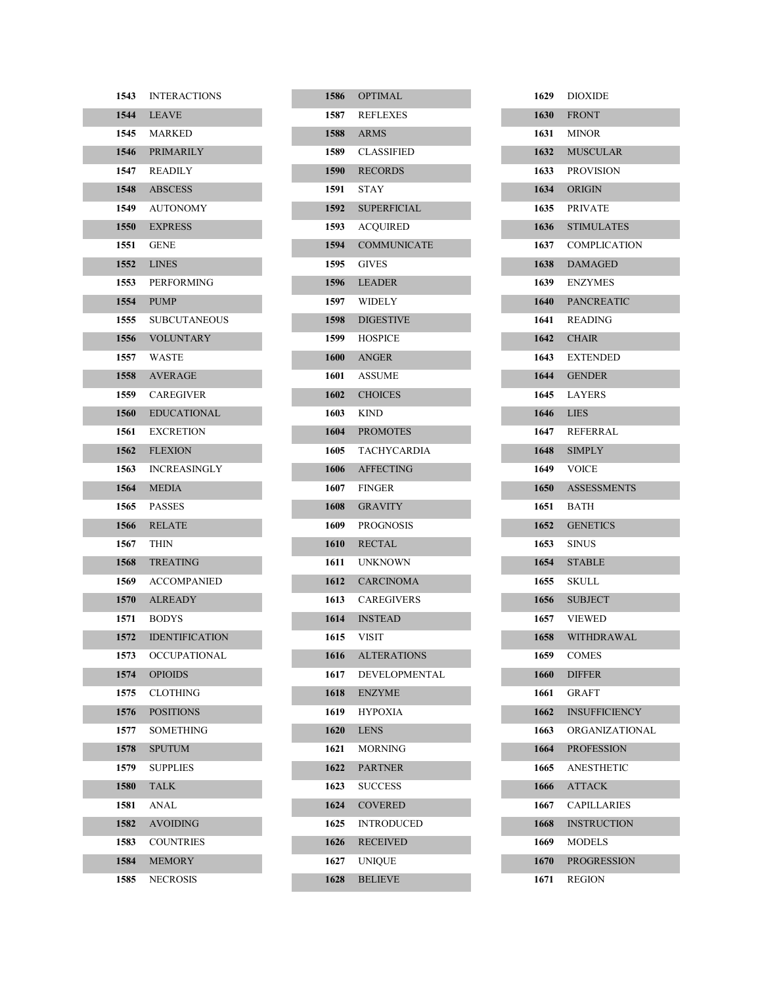| 1543 | <b>INTERACTIONS</b>   |
|------|-----------------------|
|      | <b>1544</b> LEAVE     |
|      | 1545 MARKED           |
|      | 1546 PRIMARILY        |
|      | 1547 READILY          |
|      | 1548 ABSCESS          |
|      | 1549 AUTONOMY         |
|      | 1550 EXPRESS          |
| 1551 | <b>GENE</b>           |
|      | 1552 LINES            |
|      | 1553 PERFORMING       |
|      | 1554 PUMP             |
| 1555 | <b>SUBCUTANEOUS</b>   |
|      | 1556 VOLUNTARY        |
|      | 1557 WASTE            |
|      | 1558 AVERAGE          |
|      | 1559 CAREGIVER        |
| 1560 | <b>EDUCATIONAL</b>    |
| 1561 | <b>EXCRETION</b>      |
|      | 1562 FLEXION          |
| 1563 | <b>INCREASINGLY</b>   |
|      | 1564 MEDIA            |
|      | 1565 PASSES           |
|      | 1566 RELATE           |
| 1567 | THIN                  |
|      | 1568 TREATING         |
|      | 1569 ACCOMPANIED      |
|      | 1570 ALREADY          |
| 1571 | <b>BODYS</b>          |
| 1572 | <b>IDENTIFICATION</b> |
| 1573 | OCCUPATIONAL          |
| 1574 | <b>OPIOIDS</b>        |
| 1575 | CLOTHING              |
| 1576 | <b>POSITIONS</b>      |
| 1577 | SOMETHING             |
| 1578 | <b>SPUTUM</b>         |
| 1579 | <b>SUPPLIES</b>       |
| 1580 | <b>TALK</b>           |
| 1581 | ANAL                  |
| 1582 | <b>AVOIDING</b>       |
| 1583 | <b>COUNTRIES</b>      |
| 1584 | <b>MEMORY</b>         |
| 1585 | NECROSIS              |

|      | 1586 OPTIMAL       |
|------|--------------------|
|      | 1587 REFLEXES      |
|      | <b>1588</b> ARMS   |
|      | 1589 CLASSIFIED    |
|      | 1590 RECORDS       |
|      | 1591 STAY          |
|      | 1592 SUPERFICIAL   |
|      | 1593 ACQUIRED      |
| 1594 | <b>COMMUNICATE</b> |
|      | 1595 GIVES         |
|      | 1596 LEADER        |
|      | 1597 WIDELY        |
|      | 1598 DIGESTIVE     |
|      | 1599 HOSPICE       |
|      | 1600 ANGER         |
|      | 1601 ASSUME        |
|      | 1602 CHOICES       |
|      | 1603 KIND          |
|      | 1604 PROMOTES      |
|      | 1605 TACHYCARDIA   |
|      | 1606 AFFECTING     |
|      | 1607 FINGER        |
|      | 1608 GRAVITY       |
|      | 1609 PROGNOSIS     |
|      | 1610 RECTAL        |
|      | 1611 UNKNOWN       |
|      | 1612 CARCINOMA     |
|      | 1613 CAREGIVERS    |
|      | 1614 INSTEAD       |
|      | 1615 VISIT         |
| 1616 | <b>ALTERATIONS</b> |
| 1617 | DEVELOPMENTAL      |
| 1618 | <b>ENZYME</b>      |
| 1619 | <b>HYPOXIA</b>     |
| 1620 | <b>LENS</b>        |
| 1621 | <b>MORNING</b>     |
| 1622 | <b>PARTNER</b>     |
| 1623 | <b>SUCCESS</b>     |
| 1624 | <b>COVERED</b>     |
| 1625 | <b>INTRODUCED</b>  |
| 1626 | <b>RECEIVED</b>    |
| 1627 | <b>UNIQUE</b>      |
| 1628 | <b>BELIEVE</b>     |

| 1629      | <b>DIOXIDE</b>       |
|-----------|----------------------|
|           | <b>1630 FRONT</b>    |
|           | <b>1631 MINOR</b>    |
|           | 1632 MUSCULAR        |
|           | 1633 PROVISION       |
|           | 1634 ORIGIN          |
|           | 1635 PRIVATE         |
|           | 1636 STIMULATES      |
|           | 1637 COMPLICATION    |
|           | 1638 DAMAGED         |
|           | 1639 ENZYMES         |
|           | 1640 PANCREATIC      |
| 1641      | <b>READING</b>       |
|           | 1642 CHAIR           |
|           | 1643 EXTENDED        |
|           | 1644 GENDER          |
|           | 1645 LAYERS          |
| 1646 LIES |                      |
| 1647      | REFERRAL             |
|           | 1648 SIMPLY          |
|           | 1649 VOICE           |
|           | 1650 ASSESSMENTS     |
| 1651      | BATH                 |
|           | 1652 GENETICS        |
|           | 1653 SINUS           |
|           | 1654 STABLE          |
|           | 1655 SKULL           |
|           | 1656 SUBJECT         |
|           | 1657 VIEWED          |
| 1658      | <b>WITHDRAWAL</b>    |
| 1659      | COMES                |
| 1660      | <b>DIFFER</b>        |
| 1661      | GRAFT                |
| 1662      | <b>INSUFFICIENCY</b> |
| 1663      | ORGANIZATIONAL       |
| 1664      | <b>PROFESSION</b>    |
| 1665      | <b>ANESTHETIC</b>    |
| 1666      | <b>ATTACK</b>        |
| 1667      | <b>CAPILLARIES</b>   |
| 1668      | <b>INSTRUCTION</b>   |
| 1669      | MODELS               |
| 1670      | <b>PROGRESSION</b>   |
| 1671      | REGION               |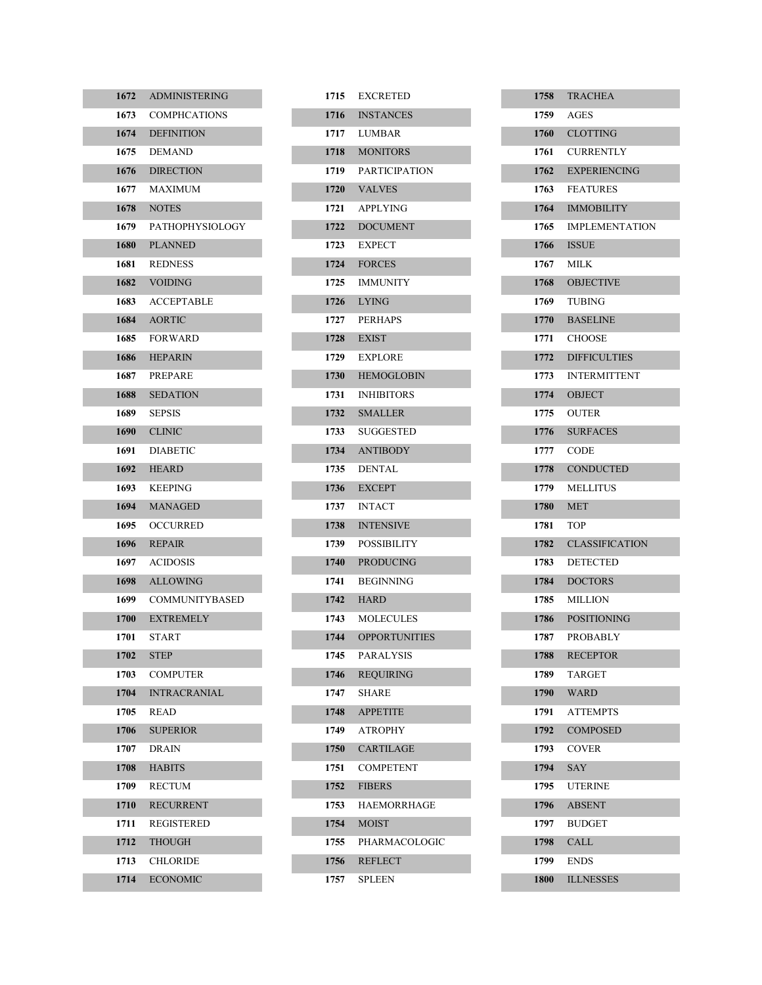| 1672   | <b>ADMINISTERING</b>   |
|--------|------------------------|
| 1673   | <b>COMPHCATIONS</b>    |
| 1674   | <b>DEFINITION</b>      |
| 1675   | <b>DEMAND</b>          |
| 1676   | <b>DIRECTION</b>       |
| 1677   | MAXIMUM                |
| 1678   | <b>NOTES</b>           |
| 1679   | <b>PATHOPHYSIOLOGY</b> |
| 1680   | <b>PLANNED</b>         |
| 1681   | <b>REDNESS</b>         |
| 1682   | <b>VOIDING</b>         |
| 1683   | ACCEPTABLE             |
| 1684   | <b>AORTIC</b>          |
| 1685   | <b>FORWARD</b>         |
| 1686   | <b>HEPARIN</b>         |
| 1687   | <b>PREPARE</b>         |
| 1688   | <b>SEDATION</b>        |
| 1689 — | <b>SEPSIS</b>          |
|        | 1690 CLINIC            |
| 1691   | <b>DIABETIC</b>        |
| 1692   | <b>HEARD</b>           |
| 1693   | <b>KEEPING</b>         |
| 1694   | <b>MANAGED</b>         |
| 1695   | OCCURRED               |
| 1696   | <b>REPAIR</b>          |
| 1697   | <b>ACIDOSIS</b>        |
| 1698   | <b>ALLOWING</b>        |
| 1699   | COMMUNITYBASED         |
| 1700   | <b>EXTREMELY</b>       |
| 1701   | <b>START</b>           |
| 1702   | <b>STEP</b>            |
| 1703   | <b>COMPUTER</b>        |
| 1704   | <b>INTRACRANIAL</b>    |
| 1705   | READ                   |
| 1706   | <b>SUPERIOR</b>        |
| 1707   | DRAIN                  |
| 1708   | <b>HABITS</b>          |
| 1709   | <b>RECTUM</b>          |
| 1710   | <b>RECURRENT</b>       |
| 1711   | REGISTERED             |
| 1712   | <b>THOUGH</b>          |
| 1713   | CHLORIDE               |
| 1714   | <b>ECONOMIC</b>        |

| 1715 | <b>EXCRETED</b>      |
|------|----------------------|
|      | 1716 INSTANCES       |
| 1717 | LUMBAR               |
|      | 1718 MONITORS        |
|      | 1719 PARTICIPATION   |
| 1720 | <b>VALVES</b>        |
| 1721 | <b>APPLYING</b>      |
| 1722 | <b>DOCUMENT</b>      |
| 1723 | <b>EXPECT</b>        |
|      | 1724 FORCES          |
| 1725 | <b>IMMUNITY</b>      |
|      | 1726 LYING           |
| 1727 | <b>PERHAPS</b>       |
| 1728 | <b>EXIST</b>         |
|      | 1729 EXPLORE         |
| 1730 | <b>HEMOGLOBIN</b>    |
| 1731 | <b>INHIBITORS</b>    |
|      | 1732 SMALLER         |
| 1733 | <b>SUGGESTED</b>     |
|      | 1734 ANTIBODY        |
| 1735 | DENTAL               |
|      | 1736 EXCEPT          |
| 1737 | <b>INTACT</b>        |
| 1738 | <b>INTENSIVE</b>     |
| 1739 | <b>POSSIBILITY</b>   |
| 1740 | <b>PRODUCING</b>     |
| 1741 | <b>BEGINNING</b>     |
| 1742 | <b>HARD</b>          |
| 1743 | <b>MOLECULES</b>     |
| 1744 | <b>OPPORTUNITIES</b> |
| 1745 | <b>PARALYSIS</b>     |
| 1746 | <b>REQUIRING</b>     |
| 1747 | SHARE                |
| 1748 | <b>APPETITE</b>      |
| 1749 | <b>ATROPHY</b>       |
| 1750 | <b>CARTILAGE</b>     |
| 1751 | <b>COMPETENT</b>     |
| 1752 | <b>FIBERS</b>        |
| 1753 | HAEMORRHAGE          |
| 1754 | <b>MOIST</b>         |
| 1755 | PHARMACOLOGIC        |
| 1756 | <b>REFLECT</b>       |
| 1757 | SPLEEN               |

|      | 1758 TRACHEA        |
|------|---------------------|
| 1759 | AGES                |
|      | 1760 CLOTTING       |
|      | 1761 CURRENTLY      |
|      | 1762 EXPERIENCING   |
|      | 1763 FEATURES       |
|      | 1764 IMMOBILITY     |
|      | 1765 IMPLEMENTATION |
|      | <b>1766</b> ISSUE   |
|      | 1767 MILK           |
|      | 1768 OBJECTIVE      |
| 1769 | TUBING              |
|      | 1770 BASELINE       |
|      | 1771 CHOOSE         |
|      | 1772 DIFFICULTIES   |
| 1773 | <b>INTERMITTENT</b> |
|      | 1774 OBJECT         |
|      | 1775 OUTER          |
|      | 1776 SURFACES       |
|      | 1777 CODE           |
|      | 1778 CONDUCTED      |
| 1779 | MELLITUS            |
|      | 1780 MET            |
| 1781 | <b>TOP</b>          |
|      | 1782 CLASSIFICATION |
| 1783 | <b>DETECTED</b>     |
|      | 1784 DOCTORS        |
| 1785 | <b>MILLION</b>      |
|      | 1786 POSITIONING    |
| 1787 | <b>PROBABLY</b>     |
| 1788 | <b>RECEPTOR</b>     |
| 1789 | TARGET              |
|      | 1790 WARD           |
| 1791 | <b>ATTEMPTS</b>     |
| 1792 | <b>COMPOSED</b>     |
| 1793 | <b>COVER</b>        |
| 1794 | SAY                 |
| 1795 | <b>UTERINE</b>      |
| 1796 | <b>ABSENT</b>       |
| 1797 | <b>BUDGET</b>       |
| 1798 | <b>CALL</b>         |
| 1799 | <b>ENDS</b>         |
| 1800 | <b>ILLNESSES</b>    |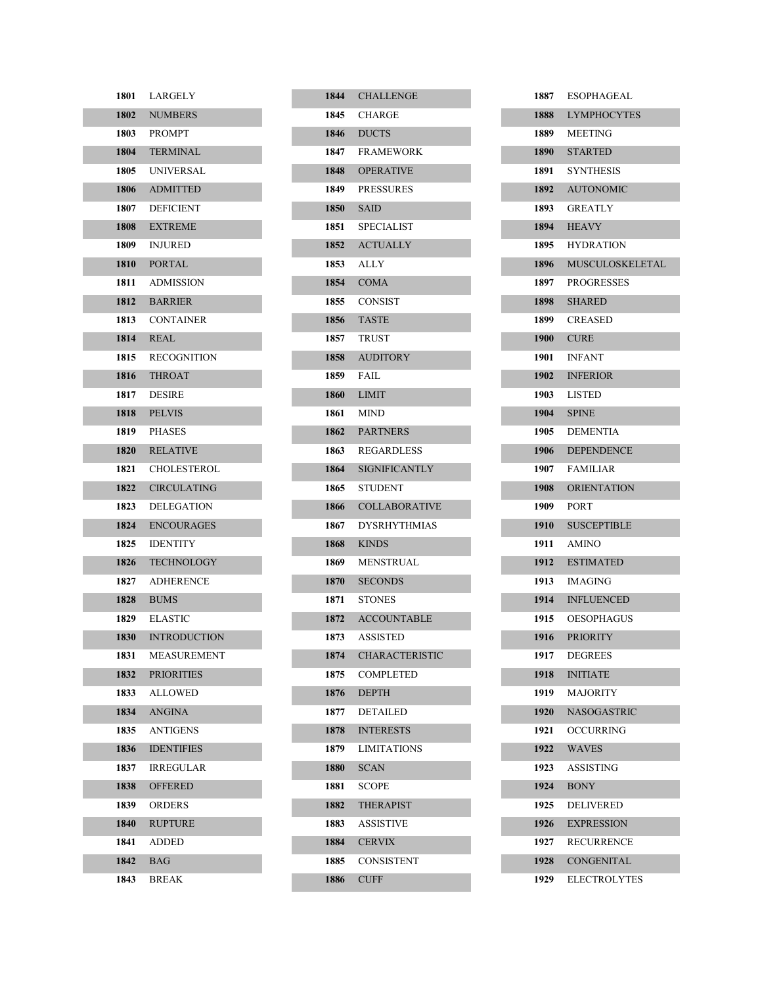| 1801   | LARGELY             |
|--------|---------------------|
| 1802   | <b>NUMBERS</b>      |
| 1803   | PROMPT              |
|        | 1804 TERMINAL       |
| 1805 — | <b>UNIVERSAL</b>    |
|        | 1806 ADMITTED       |
| 1807   | <b>DEFICIENT</b>    |
| 1808 - | <b>EXTREME</b>      |
| 1809 — | <b>INJURED</b>      |
|        | 1810 PORTAL         |
| 1811   | <b>ADMISSION</b>    |
|        | 1812 BARRIER        |
| 1813   | <b>CONTAINER</b>    |
| 1814   | <b>REAL</b>         |
| 1815   | <b>RECOGNITION</b>  |
|        | 1816 THROAT         |
| 1817   | <b>DESIRE</b>       |
| 1818   | <b>PELVIS</b>       |
| 1819   | <b>PHASES</b>       |
|        | 1820 RELATIVE       |
| 1821   | <b>CHOLESTEROL</b>  |
| 1822   | <b>CIRCULATING</b>  |
| 1823   | <b>DELEGATION</b>   |
| 1824   | <b>ENCOURAGES</b>   |
| 1825   | <b>IDENTITY</b>     |
| 1826   | <b>TECHNOLOGY</b>   |
| 1827   | <b>ADHERENCE</b>    |
| 1828   | <b>BUMS</b>         |
| 1829   | <b>ELASTIC</b>      |
| 1830   | <b>INTRODUCTION</b> |
| 1831   | MEASUREMENT         |
| 1832   | <b>PRIORITIES</b>   |
| 1833   | <b>ALLOWED</b>      |
| 1834   | <b>ANGINA</b>       |
| 1835   | ANTIGENS            |
| 1836   | <b>IDENTIFIES</b>   |
| 1837   | <b>IRREGULAR</b>    |
| 1838   | <b>OFFERED</b>      |
| 1839   | <b>ORDERS</b>       |
| 1840   | <b>RUPTURE</b>      |
| 1841   | ADDED               |
| 1842   | <b>BAG</b>          |
| 1843   | <b>BREAK</b>        |

|      | 1844 CHALLENGE        |
|------|-----------------------|
|      | 1845 CHARGE           |
|      | 1846 DUCTS            |
|      | 1847 FRAMEWORK        |
| 1848 | <b>OPERATIVE</b>      |
|      | 1849 PRESSURES        |
|      | $1850$ SAID           |
|      | 1851 SPECIALIST       |
| 1852 | <b>ACTUALLY</b>       |
|      | 1853 ALLY             |
|      | 1854 COMA             |
|      | 1855 CONSIST          |
| 1856 | <b>TASTE</b>          |
|      | 1857 TRUST            |
|      | 1858 AUDITORY         |
|      | 1859 FAIL             |
|      | 1860 LIMIT            |
|      | 1861 MIND             |
|      | 1862 PARTNERS         |
|      | 1863 REGARDLESS       |
| 1864 | <b>SIGNIFICANTLY</b>  |
| 1865 | STUDENT               |
| 1866 | <b>COLLABORATIVE</b>  |
| 1867 | <b>DYSRHYTHMIAS</b>   |
| 1868 | <b>KINDS</b>          |
|      | 1869 MENSTRUAL        |
| 1870 | <b>SECONDS</b>        |
| 1871 | <b>STONES</b>         |
| 1872 | <b>ACCOUNTABLE</b>    |
| 1873 | ASSISTED              |
| 1874 | <b>CHARACTERISTIC</b> |
| 1875 | <b>COMPLETED</b>      |
| 1876 | <b>DEPTH</b>          |
| 1877 | <b>DETAILED</b>       |
| 1878 | <b>INTERESTS</b>      |
| 1879 | <b>LIMITATIONS</b>    |
| 1880 | <b>SCAN</b>           |
| 1881 | <b>SCOPE</b>          |
| 1882 | <b>THERAPIST</b>      |
| 1883 | <b>ASSISTIVE</b>      |
| 1884 | <b>CERVIX</b>         |
| 1885 | <b>CONSISTENT</b>     |
| 1886 | <b>CUFF</b>           |

| 1887   | <b>ESOPHAGEAL</b>    |
|--------|----------------------|
| 1888   | <b>LYMPHOCYTES</b>   |
|        | 1889 MEETING         |
|        | 1890 STARTED         |
|        | 1891 SYNTHESIS       |
|        | 1892 AUTONOMIC       |
| 1893   | <b>GREATLY</b>       |
| 1894   | <b>HEAVY</b>         |
|        | 1895 HYDRATION       |
|        | 1896 MUSCULOSKELETAL |
| 1897   | <b>PROGRESSES</b>    |
|        | 1898 SHARED          |
|        | 1899 CREASED         |
|        | <b>1900 CURE</b>     |
|        | 1901 INFANT          |
|        | 1902 INFERIOR        |
| 1903   | <b>LISTED</b>        |
|        | <b>1904</b> SPINE    |
| 1905   | <b>DEMENTIA</b>      |
| 1906 — | <b>DEPENDENCE</b>    |
|        | 1907 FAMILIAR        |
| 1908   | <b>ORIENTATION</b>   |
|        | 1909 PORT            |
| 1910   | <b>SUSCEPTIBLE</b>   |
| 1911   | AMINO                |
|        | 1912 ESTIMATED       |
| 1913   | <b>IMAGING</b>       |
| 1914   | <b>INFLUENCED</b>    |
| 1915   | <b>OESOPHAGUS</b>    |
| 1916   | <b>PRIORITY</b>      |
| 1917   | <b>DEGREES</b>       |
| 1918   | <b>INITIATE</b>      |
| 1919   | <b>MAJORITY</b>      |
| 1920   | <b>NASOGASTRIC</b>   |
| 1921   | <b>OCCURRING</b>     |
| 1922   | <b>WAVES</b>         |
| 1923   | <b>ASSISTING</b>     |
| 1924   | <b>BONY</b>          |
| 1925   | DELIVERED            |
| 1926   | <b>EXPRESSION</b>    |
| 1927   | <b>RECURRENCE</b>    |
| 1928   | <b>CONGENITAL</b>    |
| 1929   | <b>ELECTROLYTES</b>  |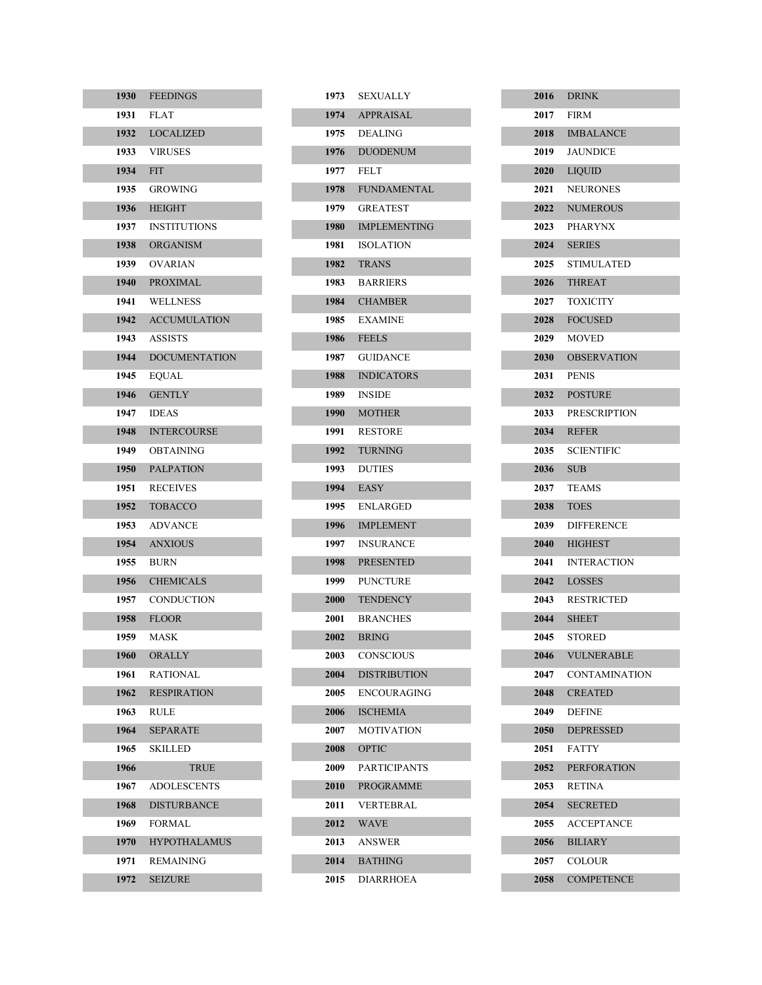| 1930 | <b>FEEDINGS</b>      |
|------|----------------------|
| 1931 | <b>FLAT</b>          |
| 1932 | <b>LOCALIZED</b>     |
| 1933 | <b>VIRUSES</b>       |
| 1934 | <b>FIT</b>           |
| 1935 | GROWING              |
| 1936 | <b>HEIGHT</b>        |
| 1937 | <b>INSTITUTIONS</b>  |
| 1938 | <b>ORGANISM</b>      |
| 1939 | OVARIAN              |
| 1940 | <b>PROXIMAL</b>      |
| 1941 | WELLNESS             |
| 1942 | <b>ACCUMULATION</b>  |
| 1943 | <b>ASSISTS</b>       |
| 1944 | <b>DOCUMENTATION</b> |
| 1945 | EOUAL                |
| 1946 | <b>GENTLY</b>        |
| 1947 | IDEAS                |
| 1948 | <b>INTERCOURSE</b>   |
| 1949 | OBTAINING            |
| 1950 | <b>PALPATION</b>     |
| 1951 | <b>RECEIVES</b>      |
| 1952 | <b>TOBACCO</b>       |
| 1953 | ADVANCE              |
| 1954 | <b>ANXIOUS</b>       |
| 1955 | <b>BURN</b>          |
| 1956 | <b>CHEMICALS</b>     |
| 1957 | CONDUCTION           |
| 1958 | <b>FLOOR</b>         |
| 1959 | MASK                 |
| 1960 | ORALLY               |
| 1961 | RATIONAL             |
| 1962 | <b>RESPIRATION</b>   |
| 1963 | RULE                 |
| 1964 | <b>SEPARATE</b>      |
| 1965 | SKILLED              |
| 1966 | <b>TRUE</b>          |
| 1967 | <b>ADOLESCENTS</b>   |
| 1968 | <b>DISTURBANCE</b>   |
| 1969 | FORMAL               |
| 1970 | <b>HYPOTHALAMUS</b>  |
| 1971 | REMAINING            |
| 1972 | <b>SEIZURE</b>       |

| 1973        | <b>SEXUALLY</b>     |
|-------------|---------------------|
| 1974        | <b>APPRAISAL</b>    |
| 1975        | <b>DEALING</b>      |
| 1976        | <b>DUODENUM</b>     |
| 1977        | <b>FELT</b>         |
| 1978        | <b>FUNDAMENTAL</b>  |
| 1979        | <b>GREATEST</b>     |
| 1980        | <b>IMPLEMENTING</b> |
| 1981        | <b>ISOLATION</b>    |
| 1982        | <b>TRANS</b>        |
| 1983        | <b>BARRIERS</b>     |
| 1984        | <b>CHAMBER</b>      |
| 1985        | <b>EXAMINE</b>      |
| 1986        | <b>FEELS</b>        |
| 1987        | <b>GUIDANCE</b>     |
| 1988        | <b>INDICATORS</b>   |
| 1989        | <b>INSIDE</b>       |
| 1990        | <b>MOTHER</b>       |
| 1991        | <b>RESTORE</b>      |
| 1992        | <b>TURNING</b>      |
| 1993        | <b>DUTIES</b>       |
| 1994        | EASY                |
| 1995        | <b>ENLARGED</b>     |
| 1996        | <b>IMPLEMENT</b>    |
| 1997        | <b>INSURANCE</b>    |
| 1998        | <b>PRESENTED</b>    |
| 1999        | <b>PUNCTURE</b>     |
| 2000        | <b>TENDENCY</b>     |
| 2001        | <b>BRANCHES</b>     |
| 2002        | <b>BRING</b>        |
| <b>2003</b> | CONSCIOUS           |
| 2004        | <b>DISTRIBUTION</b> |
| 2005        | <b>ENCOURAGING</b>  |
| 2006        | <b>ISCHEMIA</b>     |
| 2007        | <b>MOTIVATION</b>   |
| 2008        | <b>OPTIC</b>        |
| 2009        | <b>PARTICIPANTS</b> |
| <b>2010</b> | <b>PROGRAMME</b>    |
| 2011        | VERTEBRAL           |
| 2012        | <b>WAVE</b>         |
| 2013        | <b>ANSWER</b>       |
| 2014        | <b>BATHING</b>      |
| 2015        | DIARRHOEA           |

|             | 2016 DRINK         |
|-------------|--------------------|
|             | 2017 FIRM          |
|             | 2018 IMBALANCE     |
|             | 2019 JAUNDICE      |
|             | 2020 LIOUID        |
|             | 2021 NEURONES      |
|             | 2022 NUMEROUS      |
|             | 2023 PHARYNX       |
|             | <b>2024 SERIES</b> |
|             | 2025 STIMULATED    |
|             | 2026 THREAT        |
|             | 2027 TOXICITY      |
|             | 2028 FOCUSED       |
|             | <b>2029</b> MOVED  |
|             | 2030 OBSERVATION   |
|             | <b>2031 PENIS</b>  |
|             | 2032 POSTURE       |
|             | 2033 PRESCRIPTION  |
|             | <b>2034 REFER</b>  |
|             | 2035 SCIENTIFIC    |
|             | 2036 SUB           |
|             | 2037 TEAMS         |
|             | 2038 TOES          |
|             | 2039 DIFFERENCE    |
|             | 2040 HIGHEST       |
|             | 2041 INTERACTION   |
|             | 2042 LOSSES        |
|             | 2043 RESTRICTED    |
|             | 2044 SHEET         |
| 2045        | <b>STORED</b>      |
| 2046        | <b>VULNERABLE</b>  |
| 2047        | CONTAMINATION      |
| 2048        | <b>CREATED</b>     |
| 2049        | <b>DEFINE</b>      |
| <b>2050</b> | <b>DEPRESSED</b>   |
| 2051        | <b>FATTY</b>       |
| 2052        | <b>PERFORATION</b> |
| 2053        | RETINA             |
| 2054        | <b>SECRETED</b>    |
| 2055        | ACCEPTANCE         |
| 2056        | <b>BILIARY</b>     |
| 2057        | <b>COLOUR</b>      |
| 2058        | <b>COMPETENCE</b>  |

I